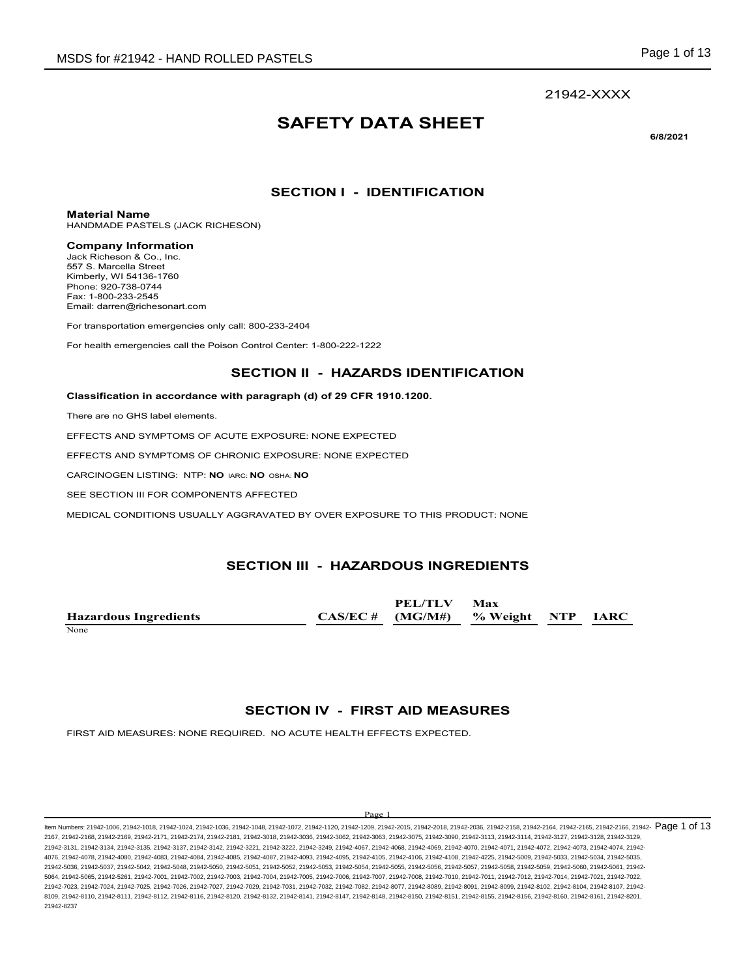# **SAFETY DATA SHEET**

**6/8/2021**

## **SECTION I - IDENTIFICATION**

**Material Name**

HANDMADE PASTELS (JACK RICHESON)

### **Company Information**

Jack Richeson & Co., Inc. 557 S. Marcella Street Kimberly, WI 54136-1760 Phone: 920-738-0744 Fax: 1-800-233-2545 Email: darren@richesonart.com

For transportation emergencies only call: 800-233-2404

For health emergencies call the Poison Control Center: 1-800-222-1222

## **SECTION II - HAZARDS IDENTIFICATION**

### **Classification in accordance with paragraph (d) of 29 CFR 1910.1200.**

There are no GHS label elements.

EFFECTS AND SYMPTOMS OF ACUTE EXPOSURE: NONE EXPECTED

EFFECTS AND SYMPTOMS OF CHRONIC EXPOSURE: NONE EXPECTED

CARCINOGEN LISTING: NTP: **NO** IARC: **NO** OSHA: **NO**

SEE SECTION III FOR COMPONENTS AFFECTED

MEDICAL CONDITIONS USUALLY AGGRAVATED BY OVER EXPOSURE TO THIS PRODUCT: NONE

## **SECTION III - HAZARDOUS INGREDIENTS**

**Hazardous Ingredients CAS/EC # PEL/TLV (MG/M#) Max % Weight NTP IARC** None experience and the set of the set of the set of the set of the set of the set of the set of the set of the set of the set of the set of the set of the set of the set of the set of the set of the set of the set of the

## **SECTION IV - FIRST AID MEASURES**

FIRST AID MEASURES: NONE REQUIRED. NO ACUTE HEALTH EFFECTS EXPECTED.

### $D_{\alpha\alpha\beta}$

ltem Numbers: 21942-1006, 21942-1018, 21942-1024, 21942-1036, 21942-1048, 21942-1072, 21942-1120, 21942-2036, 21942-2018, 21942-2018, 21942-2168, 21942-2164, 21942-2166, 21942-2166, 21942-2166, 21942-2166, 21942-2166, 2194 2167, 21942-2168, 21942-2169, 21942-2171, 21942-2174, 21942-2181, 21942-3018, 21942-3036, 21942-3062, 21942-3063, 21942-3075, 21942-3090, 21942-3113, 21942-3114, 21942-3127, 21942-3128, 21942-3129, 21942-3131, 21942-3134, 21942-3135, 21942-3137, 21942-3142, 21942-3221, 21942-3222, 21942-3249, 21942-4067, 21942-4068, 21942-4069, 21942-4070, 21942-4071, 21942-4072, 21942-4073, 21942-4074, 21942- 4076, 21942-4078, 21942-4080, 21942-4083, 21942-4084, 21942-4085, 21942-4087, 21942-4095, 21942-4015, 21942-4106, 21942-4108, 21942-4225, 21942-5009, 21942-5003, 21942-5033, 21942-5034, 21942-428, 21942-5034, 21942-5035, 21942-5036, 21942-5037, 21942-5042, 21942-5048, 21942-5050, 21942-5051, 21942-5052, 21942-5053, 21942-5054, 21942-5055, 21942-5056, 21942-5057, 21942-5058, 21942-5059, 21942-5060, 21942-5061, 21942- 5064, 21942-5065, 21942-5261, 21942-7001, 21942-7002, 21942-7003, 21942-7004, 21942-7005, 21942-7006, 21942-7007, 21942-7008, 21942-7010, 21942-7011, 21942-7012, 21942-7014, 21942-7021, 21942-7022, 21942-7023, 21942-7024, 21942-7025, 21942-7026, 21942-7027, 21942-7029, 21942-7031, 21942-7032, 21942-7082, 21942-8077, 21942-8089, 21942-8091, 21942-8099, 21942-8102, 21942-8104, 21942-8107, 21942- 8109, 21942-8110, 21942-8111, 21942-8112, 21942-8116, 21942-8120, 21942-8132, 21942-8141, 21942-8147, 21942-8148, 21942-8150, 21942-8151, 21942-8155, 21942-8156, 21942-8160, 21942-8161, 21942-8201, 21942-8237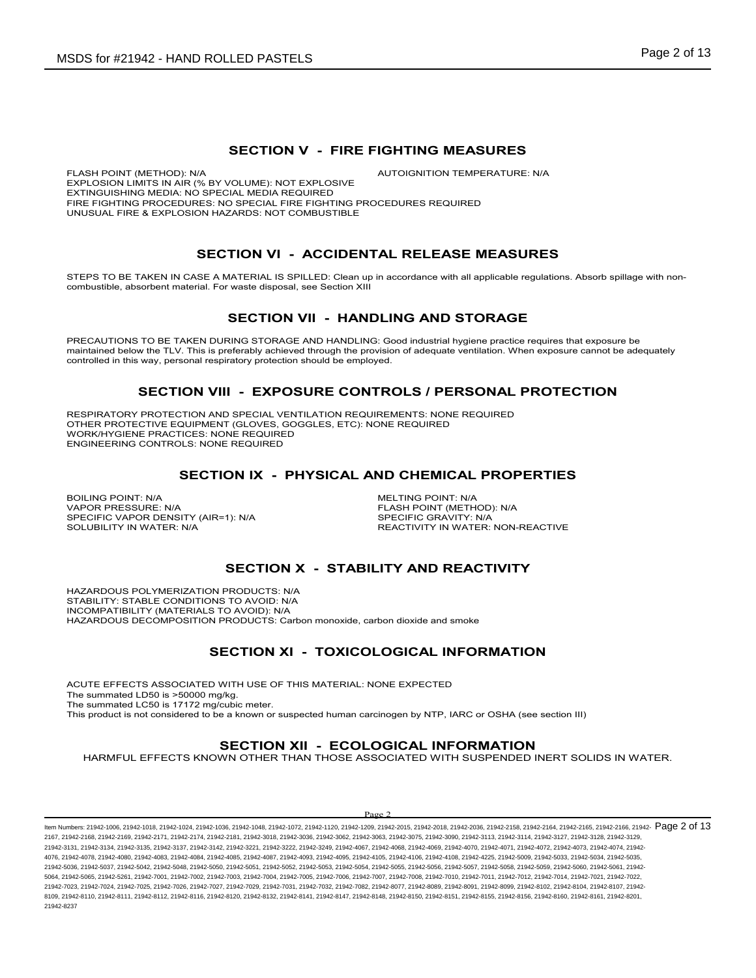## **SECTION V - FIRE FIGHTING MEASURES**

FLASH POINT (METHOD): N/A  $\overline{A}$  autoignition temperature: N/A EXPLOSION LIMITS IN AIR (% BY VOLUME): NOT EXPLOSIVE EXTINGUISHING MEDIA: NO SPECIAL MEDIA REQUIRED FIRE FIGHTING PROCEDURES: NO SPECIAL FIRE FIGHTING PROCEDURES REQUIRED UNUSUAL FIRE & EXPLOSION HAZARDS: NOT COMBUSTIBLE

## **SECTION VI - ACCIDENTAL RELEASE MEASURES**

STEPS TO BE TAKEN IN CASE A MATERIAL IS SPILLED: Clean up in accordance with all applicable regulations. Absorb spillage with noncombustible, absorbent material. For waste disposal, see Section XIII

## **SECTION VII - HANDLING AND STORAGE**

PRECAUTIONS TO BE TAKEN DURING STORAGE AND HANDLING: Good industrial hygiene practice requires that exposure be maintained below the TLV. This is preferably achieved through the provision of adequate ventilation. When exposure cannot be adequately controlled in this way, personal respiratory protection should be employed.

### **SECTION VIII - EXPOSURE CONTROLS / PERSONAL PROTECTION**

RESPIRATORY PROTECTION AND SPECIAL VENTILATION REQUIREMENTS: NONE REQUIRED OTHER PROTECTIVE EQUIPMENT (GLOVES, GOGGLES, ETC): NONE REQUIRED WORK/HYGIENE PRACTICES: NONE REQUIRED ENGINEERING CONTROLS: NONE REQUIRED

## **SECTION IX - PHYSICAL AND CHEMICAL PROPERTIES**

BOILING POINT: N/A<br>
VAPOR PRESSURE: N/A<br>
VAPOR PRESSURE: N/A SPECIFIC VAPOR DENSITY (AIR=1): N/A<br>SOLUBILITY IN WATER: N/A

FLASH POINT (METHOD): N/A<br>SPECIFIC GRAVITY: N/A REACTIVITY IN WATER: NON-REACTIVE

## **SECTION X - STABILITY AND REACTIVITY**

HAZARDOUS POLYMERIZATION PRODUCTS: N/A STABILITY: STABLE CONDITIONS TO AVOID: N/A INCOMPATIBILITY (MATERIALS TO AVOID): N/A HAZARDOUS DECOMPOSITION PRODUCTS: Carbon monoxide, carbon dioxide and smoke

## **SECTION XI - TOXICOLOGICAL INFORMATION**

ACUTE EFFECTS ASSOCIATED WITH USE OF THIS MATERIAL: NONE EXPECTED The summated LD50 is >50000 mg/kg. The summated LC50 is 17172 mg/cubic meter. This product is not considered to be a known or suspected human carcinogen by NTP, IARC or OSHA (see section III)

## **SECTION XII - ECOLOGICAL INFORMATION**

HARMFUL EFFECTS KNOWN OTHER THAN THOSE ASSOCIATED WITH SUSPENDED INERT SOLIDS IN WATER.

#### $D_{\alpha\alpha\beta}$

ltem Numbers: 21942-1006, 21942-1018, 21942-1024, 21942-1036, 21942-1048, 21942-1072, 21942-1120, 21942-2036, 21942-2018, 21942-2018, 21942-2168, 21942-2164, 21942-2166, 21942-2166, 21942-2166, 21942-2166, 21942-2166, 2194 2167, 21942-2168, 21942-2169, 21942-2171, 21942-2174, 21942-2181, 21942-3018, 21942-3036, 21942-3062, 21942-3063, 21942-3075, 21942-3090, 21942-3113, 21942-3114, 21942-3127, 21942-3128, 21942-3129, 21942-3131, 21942-3134, 21942-3135, 21942-3137, 21942-3142, 21942-3221, 21942-3222, 21942-3249, 21942-4067, 21942-4068, 21942-4069, 21942-4070, 21942-4071, 21942-4072, 21942-4073, 21942-4074, 21942- 4076, 21942-4078, 21942-4080, 21942-4083, 21942-4084, 21942-4085, 21942-4087, 21942-4093, 21942-4095, 21942-4105, 21942-4105, 21942-4108, 21942-4108, 21942-4108, 21942-425, 21942-5009, 21942-5009, 21942-5033, 21942-5034, 21 21942-5036, 21942-5037, 21942-5042, 21942-5048, 21942-5050, 21942-5051, 21942-5052, 21942-5053, 21942-5054, 21942-5055, 21942-5056, 21942-5057, 21942-5058, 21942-5059, 21942-5060, 21942-5061, 21942- 5064, 21942-5065, 21942-5261, 21942-7001, 21942-7002, 21942-7003, 21942-7004, 21942-7005, 21942-7006, 21942-7007, 21942-7008, 21942-7010, 21942-7011, 21942-7012, 21942-7014, 21942-7021, 21942-7022, 21942-7023, 21942-7024, 21942-7025, 21942-7026, 21942-7027, 21942-7029, 21942-7031, 21942-7032, 21942-7082, 21942-8077, 21942-8089, 21942-8091, 21942-8099, 21942-8102, 21942-8104, 21942-8107, 21942- 8109, 21942-8110, 21942-8111, 21942-8112, 21942-8116, 21942-8120, 21942-8132, 21942-8141, 21942-8147, 21942-8148, 21942-8150, 21942-8151, 21942-8155, 21942-8156, 21942-8160, 21942-8161, 21942-8201, 21942-8237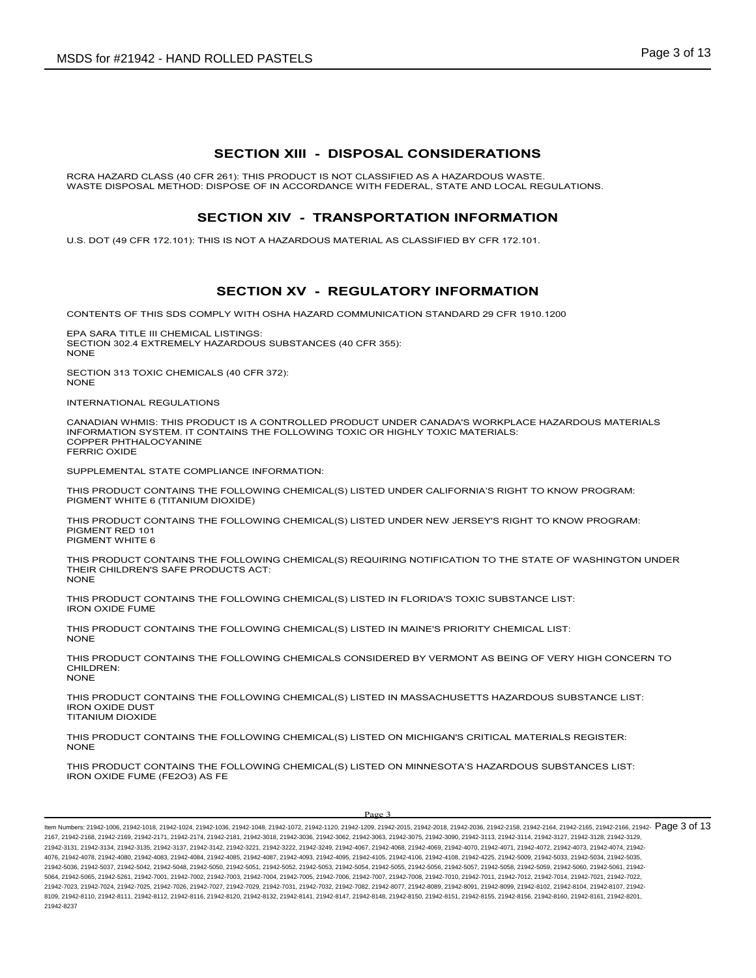## **SECTION XIII - DISPOSAL CONSIDERATIONS**

RCRA HAZARD CLASS (40 CFR 261): THIS PRODUCT IS NOT CLASSIFIED AS A HAZARDOUS WASTE. WASTE DISPOSAL METHOD: DISPOSE OF IN ACCORDANCE WITH FEDERAL, STATE AND LOCAL REGULATIONS.

## **SECTION XIV - TRANSPORTATION INFORMATION**

U.S. DOT (49 CFR 172.101): THIS IS NOT A HAZARDOUS MATERIAL AS CLASSIFIED BY CFR 172.101.

## **SECTION XV - REGULATORY INFORMATION**

CONTENTS OF THIS SDS COMPLY WITH OSHA HAZARD COMMUNICATION STANDARD 29 CFR 1910.1200

EPA SARA TITLE III CHEMICAL LISTINGS: SECTION 302.4 EXTREMELY HAZARDOUS SUBSTANCES (40 CFR 355): **NONE** 

SECTION 313 TOXIC CHEMICALS (40 CFR 372): NONE

INTERNATIONAL REGULATIONS

CANADIAN WHMIS: THIS PRODUCT IS A CONTROLLED PRODUCT UNDER CANADA'S WORKPLACE HAZARDOUS MATERIALS INFORMATION SYSTEM. IT CONTAINS THE FOLLOWING TOXIC OR HIGHLY TOXIC MATERIALS: COPPER PHTHALOCYANINE FERRIC OXIDE

SUPPLEMENTAL STATE COMPLIANCE INFORMATION:

THIS PRODUCT CONTAINS THE FOLLOWING CHEMICAL(S) LISTED UNDER CALIFORNIA'S RIGHT TO KNOW PROGRAM: PIGMENT WHITE 6 (TITANIUM DIOXIDE)

THIS PRODUCT CONTAINS THE FOLLOWING CHEMICAL(S) LISTED UNDER NEW JERSEY'S RIGHT TO KNOW PROGRAM: PIGMENT RED 101 PIGMENT WHITE 6

THIS PRODUCT CONTAINS THE FOLLOWING CHEMICAL(S) REQUIRING NOTIFICATION TO THE STATE OF WASHINGTON UNDER THEIR CHILDREN'S SAFE PRODUCTS ACT: NONE

THIS PRODUCT CONTAINS THE FOLLOWING CHEMICAL(S) LISTED IN FLORIDA'S TOXIC SUBSTANCE LIST: IRON OXIDE FUME

THIS PRODUCT CONTAINS THE FOLLOWING CHEMICAL(S) LISTED IN MAINE'S PRIORITY CHEMICAL LIST: NONE

THIS PRODUCT CONTAINS THE FOLLOWING CHEMICALS CONSIDERED BY VERMONT AS BEING OF VERY HIGH CONCERN TO CHILDREN: **NONE** 

THIS PRODUCT CONTAINS THE FOLLOWING CHEMICAL(S) LISTED IN MASSACHUSETTS HAZARDOUS SUBSTANCE LIST: IRON OXIDE DUST TITANIUM DIOXIDE

THIS PRODUCT CONTAINS THE FOLLOWING CHEMICAL(S) LISTED ON MICHIGAN'S CRITICAL MATERIALS REGISTER: NONE

THIS PRODUCT CONTAINS THE FOLLOWING CHEMICAL(S) LISTED ON MINNESOTA'S HAZARDOUS SUBSTANCES LIST: IRON OXIDE FUME (FE2O3) AS FE

### Page 3

ltem Numbers: 21942-1006, 21942-1018, 21942-1024, 21942-1036, 21942-1048, 21942-1072, 21942-1120, 21942-2036, 21942-2018, 21942-2018, 21942-2168, 21942-2164, 21942-2166, 21942-2166, 21942-2166, 21942-2166, 21942-2166, 2194 2167, 21942-2168, 21942-2169, 21942-2171, 21942-2174, 21942-2181, 21942-3018, 21942-3036, 21942-3062, 21942-3063, 21942-3075, 21942-3090, 21942-3113, 21942-3114, 21942-3127, 21942-3128, 21942-3129, 21942-3131, 21942-3134, 21942-3135, 21942-3137, 21942-3142, 21942-3221, 21942-3222, 21942-3249, 21942-4067, 21942-4068, 21942-4069, 21942-4070, 21942-4071, 21942-4072, 21942-4073, 21942-4074, 21942- 4076, 21942-4078, 21942-4080, 21942-4083, 21942-4084, 21942-4085, 21942-4087, 21942-4093, 21942-4095, 21942-4105, 21942-4105, 21942-4108, 21942-4108, 21942-425, 21942-425, 21942-5009, 21942-5033, 21942-5033, 21942-5034, 219 21942-5036, 21942-5037, 21942-5042, 21942-5048, 21942-5050, 21942-5051, 21942-5052, 21942-5053, 21942-5054, 21942-5055, 21942-5056, 21942-5057, 21942-5058, 21942-5059, 21942-5060, 21942-5061, 21942- 5064, 21942-5065, 21942-5261, 21942-7001, 21942-7002, 21942-7003, 21942-7004, 21942-7005, 21942-7006, 21942-7007, 21942-7008, 21942-7010, 21942-7011, 21942-7012, 21942-7014, 21942-7021, 21942-7022, 21942-7023, 21942-7024, 21942-7025, 21942-7026, 21942-7027, 21942-7029, 21942-7031, 21942-7032, 21942-7082, 21942-8077, 21942-8089, 21942-8091, 21942-8099, 21942-8102, 21942-8104, 21942-8107, 21942- 8109, 21942-8110, 21942-8111, 21942-8112, 21942-8116, 21942-8120, 21942-8132, 21942-8141, 21942-8147, 21942-8148, 21942-8150, 21942-8151, 21942-8155, 21942-8156, 21942-8160, 21942-8161, 21942-8201, 21942-8237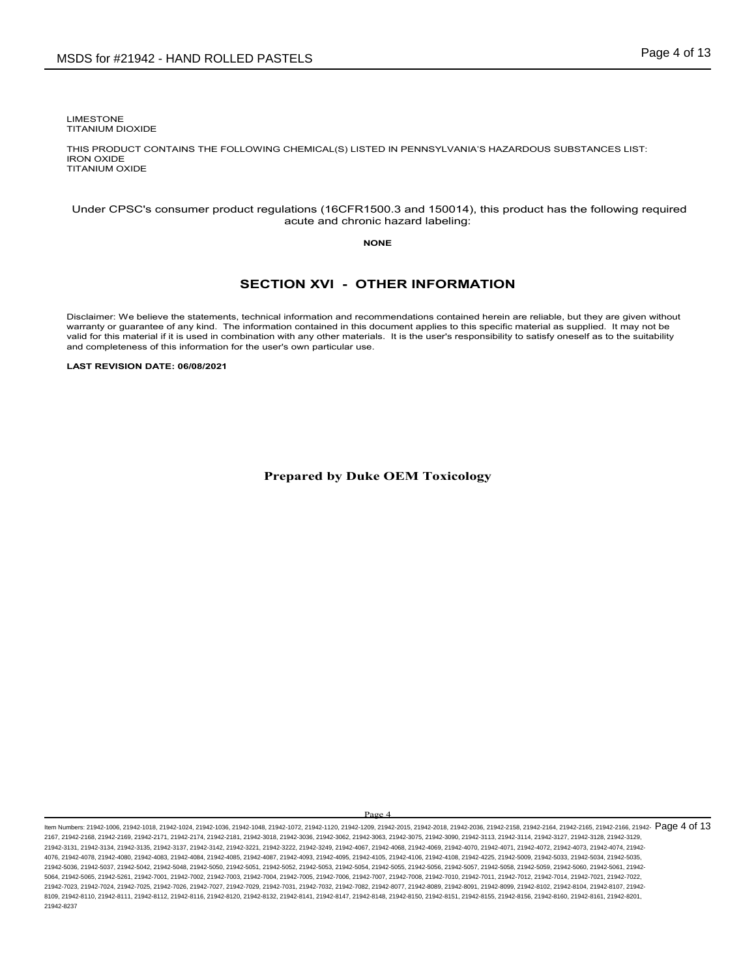LIMESTONE TITANIUM DIOXIDE

THIS PRODUCT CONTAINS THE FOLLOWING CHEMICAL(S) LISTED IN PENNSYLVANIA'S HAZARDOUS SUBSTANCES LIST: IRON OXIDE TITANIUM OXIDE

### Under CPSC's consumer product regulations (16CFR1500.3 and 150014), this product has the following required acute and chronic hazard labeling:

### **NONE**

## **SECTION XVI - OTHER INFORMATION**

Disclaimer: We believe the statements, technical information and recommendations contained herein are reliable, but they are given without warranty or guarantee of any kind. The information contained in this document applies to this specific material as supplied. It may not be valid for this material if it is used in combination with any other materials. It is the user's responsibility to satisfy oneself as to the suitability and completeness of this information for the user's own particular use.

**LAST REVISION DATE: 06/08/2021**

**Prepared by Duke OEM Toxicology**

Page 4

ltem Numbers: 21942-1006, 21942-1018, 21942-1024, 21942-1036, 21942-1048, 21942-1072, 21942-1120, 21942-2036, 21942-2018, 21942-2018, 21942-2168, 21942-2164, 21942-2166, 21942-2166, 21942-2166, 21942-2166, 21942-2166, 2194 2167, 21942-2168, 21942-2169, 21942-2171, 21942-2174, 21942-2181, 21942-3018, 21942-3036, 21942-3062, 21942-3063, 21942-3075, 21942-3090, 21942-3113, 21942-3114, 21942-3127, 21942-3128, 21942-3129, 21942-3131, 21942-3134, 21942-3135, 21942-3137, 21942-3142, 21942-3221, 21942-3222, 21942-3249, 21942-4067, 21942-4068, 21942-4069, 21942-4070, 21942-4071, 21942-4072, 21942-4073, 21942-4074, 21942- 4076, 21942-4078, 21942-4080, 21942-4083, 21942-4084, 21942-4085, 21942-4087, 21942-4093, 21942-4095, 21942-4105, 21942-4106, 21942-4108, 21942-4225, 21942-5009, 21942-5033, 21942-5034, 21942-5035, 21942-5036, 21942-5037, 21942-5042, 21942-5048, 21942-5050, 21942-5051, 21942-5052, 21942-5053, 21942-5054, 21942-5055, 21942-5056, 21942-5057, 21942-5058, 21942-5059, 21942-5060, 21942-5061, 21942- 5064, 21942-5065, 21942-5261, 21942-7001, 21942-7002, 21942-7003, 21942-7004, 21942-7005, 21942-7006, 21942-7007, 21942-7008, 21942-7010, 21942-7011, 21942-7012, 21942-7014, 21942-7021, 21942-7022, 21942-7023, 21942-7024, 21942-7025, 21942-7026, 21942-7027, 21942-7029, 21942-7031, 21942-7032, 21942-7082, 21942-8077, 21942-8089, 21942-8091, 21942-8099, 21942-8102, 21942-8104, 21942-8107, 21942- 8109, 21942-8110, 21942-8111, 21942-8112, 21942-8116, 21942-8120, 21942-8132, 21942-8141, 21942-8147, 21942-8148, 21942-8150, 21942-8151, 21942-8155, 21942-8156, 21942-8160, 21942-8161, 21942-8201, 21942-8237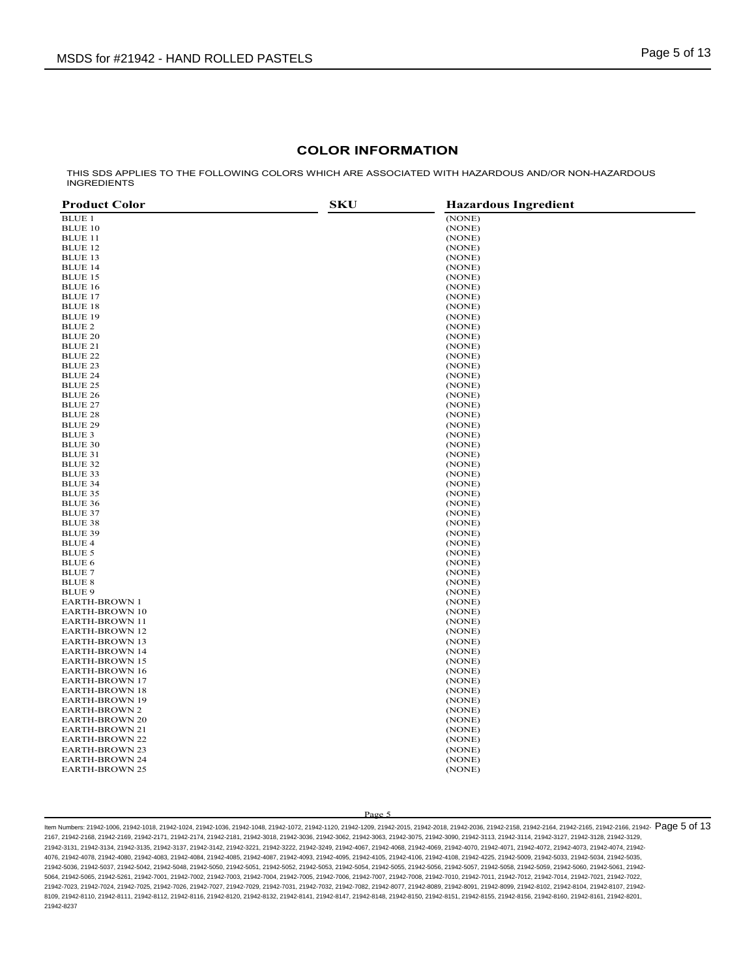## **COLOR INFORMATION**

THIS SDS APPLIES TO THE FOLLOWING COLORS WHICH ARE ASSOCIATED WITH HAZARDOUS AND/OR NON-HAZARDOUS INGREDIENTS

| <b>BLUE 1</b><br>(NONE)<br><b>BLUE 10</b><br>(NONE)<br><b>BLUE 11</b><br>(NONE)<br>BLUE 12<br>(NONE)<br><b>BLUE 13</b><br>(NONE)<br><b>BLUE 14</b><br>(NONE)<br><b>BLUE 15</b><br>(NONE)<br><b>BLUE 16</b><br>(NONE)<br><b>BLUE 17</b><br>(NONE)<br><b>BLUE 18</b><br>(NONE)<br><b>BLUE 19</b><br>(NONE)<br>BLUE 2<br>(NONE)<br><b>BLUE 20</b><br>(NONE)<br>BLUE 21<br>(NONE)<br><b>BLUE 22</b><br>(NONE)<br><b>BLUE 23</b><br>(NONE)<br><b>BLUE 24</b><br>(NONE)<br><b>BLUE 25</b><br>(NONE)<br><b>BLUE 26</b><br>(NONE)<br><b>BLUE 27</b><br>(NONE)<br><b>BLUE 28</b><br>(NONE)<br><b>BLUE 29</b><br>(NONE)<br>BLUE 3<br>(NONE)<br><b>BLUE 30</b><br>(NONE)<br>BLUE 31<br>(NONE)<br><b>BLUE 32</b><br>(NONE)<br>BLUE 33<br>(NONE)<br><b>BLUE 34</b><br>(NONE)<br>BLUE 35<br>(NONE)<br>BLUE 36<br>(NONE)<br><b>BLUE 37</b><br>(NONE)<br><b>BLUE 38</b><br>(NONE)<br><b>BLUE 39</b><br>(NONE)<br><b>BLUE 4</b><br>(NONE)<br><b>BLUE 5</b><br>(NONE)<br><b>BLUE 6</b><br>(NONE)<br><b>BLUE 7</b><br>(NONE)<br><b>BLUE 8</b><br>(NONE)<br><b>BLUE 9</b><br>(NONE)<br><b>EARTH-BROWN 1</b><br>(NONE)<br><b>EARTH-BROWN 10</b><br>(NONE)<br><b>EARTH-BROWN 11</b><br>(NONE)<br>EARTH-BROWN 12<br>(NONE)<br><b>EARTH-BROWN 13</b><br>(NONE)<br><b>EARTH-BROWN 14</b><br>(NONE)<br><b>EARTH-BROWN 15</b><br>(NONE)<br><b>EARTH-BROWN 16</b><br>(NONE)<br><b>EARTH-BROWN 17</b><br>(NONE)<br><b>EARTH-BROWN 18</b><br>(NONE)<br><b>EARTH-BROWN 19</b><br>(NONE)<br><b>EARTH-BROWN 2</b><br>(NONE)<br><b>EARTH-BROWN 20</b><br>(NONE)<br><b>EARTH-BROWN 21</b><br>(NONE)<br><b>EARTH-BROWN 22</b><br>(NONE)<br><b>EARTH-BROWN 23</b><br>(NONE)<br><b>EARTH-BROWN 24</b><br>(NONE)<br><b>EARTH-BROWN 25</b><br>(NONE) | <b>Product Color</b> | <b>SKU</b> | <b>Hazardous Ingredient</b> |
|--------------------------------------------------------------------------------------------------------------------------------------------------------------------------------------------------------------------------------------------------------------------------------------------------------------------------------------------------------------------------------------------------------------------------------------------------------------------------------------------------------------------------------------------------------------------------------------------------------------------------------------------------------------------------------------------------------------------------------------------------------------------------------------------------------------------------------------------------------------------------------------------------------------------------------------------------------------------------------------------------------------------------------------------------------------------------------------------------------------------------------------------------------------------------------------------------------------------------------------------------------------------------------------------------------------------------------------------------------------------------------------------------------------------------------------------------------------------------------------------------------------------------------------------------------------------------------------------------------------------------------------------------------------------------------------------------------------|----------------------|------------|-----------------------------|
|                                                                                                                                                                                                                                                                                                                                                                                                                                                                                                                                                                                                                                                                                                                                                                                                                                                                                                                                                                                                                                                                                                                                                                                                                                                                                                                                                                                                                                                                                                                                                                                                                                                                                                              |                      |            |                             |
|                                                                                                                                                                                                                                                                                                                                                                                                                                                                                                                                                                                                                                                                                                                                                                                                                                                                                                                                                                                                                                                                                                                                                                                                                                                                                                                                                                                                                                                                                                                                                                                                                                                                                                              |                      |            |                             |
|                                                                                                                                                                                                                                                                                                                                                                                                                                                                                                                                                                                                                                                                                                                                                                                                                                                                                                                                                                                                                                                                                                                                                                                                                                                                                                                                                                                                                                                                                                                                                                                                                                                                                                              |                      |            |                             |
|                                                                                                                                                                                                                                                                                                                                                                                                                                                                                                                                                                                                                                                                                                                                                                                                                                                                                                                                                                                                                                                                                                                                                                                                                                                                                                                                                                                                                                                                                                                                                                                                                                                                                                              |                      |            |                             |
|                                                                                                                                                                                                                                                                                                                                                                                                                                                                                                                                                                                                                                                                                                                                                                                                                                                                                                                                                                                                                                                                                                                                                                                                                                                                                                                                                                                                                                                                                                                                                                                                                                                                                                              |                      |            |                             |
|                                                                                                                                                                                                                                                                                                                                                                                                                                                                                                                                                                                                                                                                                                                                                                                                                                                                                                                                                                                                                                                                                                                                                                                                                                                                                                                                                                                                                                                                                                                                                                                                                                                                                                              |                      |            |                             |
|                                                                                                                                                                                                                                                                                                                                                                                                                                                                                                                                                                                                                                                                                                                                                                                                                                                                                                                                                                                                                                                                                                                                                                                                                                                                                                                                                                                                                                                                                                                                                                                                                                                                                                              |                      |            |                             |
|                                                                                                                                                                                                                                                                                                                                                                                                                                                                                                                                                                                                                                                                                                                                                                                                                                                                                                                                                                                                                                                                                                                                                                                                                                                                                                                                                                                                                                                                                                                                                                                                                                                                                                              |                      |            |                             |
|                                                                                                                                                                                                                                                                                                                                                                                                                                                                                                                                                                                                                                                                                                                                                                                                                                                                                                                                                                                                                                                                                                                                                                                                                                                                                                                                                                                                                                                                                                                                                                                                                                                                                                              |                      |            |                             |
|                                                                                                                                                                                                                                                                                                                                                                                                                                                                                                                                                                                                                                                                                                                                                                                                                                                                                                                                                                                                                                                                                                                                                                                                                                                                                                                                                                                                                                                                                                                                                                                                                                                                                                              |                      |            |                             |
|                                                                                                                                                                                                                                                                                                                                                                                                                                                                                                                                                                                                                                                                                                                                                                                                                                                                                                                                                                                                                                                                                                                                                                                                                                                                                                                                                                                                                                                                                                                                                                                                                                                                                                              |                      |            |                             |
|                                                                                                                                                                                                                                                                                                                                                                                                                                                                                                                                                                                                                                                                                                                                                                                                                                                                                                                                                                                                                                                                                                                                                                                                                                                                                                                                                                                                                                                                                                                                                                                                                                                                                                              |                      |            |                             |
|                                                                                                                                                                                                                                                                                                                                                                                                                                                                                                                                                                                                                                                                                                                                                                                                                                                                                                                                                                                                                                                                                                                                                                                                                                                                                                                                                                                                                                                                                                                                                                                                                                                                                                              |                      |            |                             |
|                                                                                                                                                                                                                                                                                                                                                                                                                                                                                                                                                                                                                                                                                                                                                                                                                                                                                                                                                                                                                                                                                                                                                                                                                                                                                                                                                                                                                                                                                                                                                                                                                                                                                                              |                      |            |                             |
|                                                                                                                                                                                                                                                                                                                                                                                                                                                                                                                                                                                                                                                                                                                                                                                                                                                                                                                                                                                                                                                                                                                                                                                                                                                                                                                                                                                                                                                                                                                                                                                                                                                                                                              |                      |            |                             |
|                                                                                                                                                                                                                                                                                                                                                                                                                                                                                                                                                                                                                                                                                                                                                                                                                                                                                                                                                                                                                                                                                                                                                                                                                                                                                                                                                                                                                                                                                                                                                                                                                                                                                                              |                      |            |                             |
|                                                                                                                                                                                                                                                                                                                                                                                                                                                                                                                                                                                                                                                                                                                                                                                                                                                                                                                                                                                                                                                                                                                                                                                                                                                                                                                                                                                                                                                                                                                                                                                                                                                                                                              |                      |            |                             |
|                                                                                                                                                                                                                                                                                                                                                                                                                                                                                                                                                                                                                                                                                                                                                                                                                                                                                                                                                                                                                                                                                                                                                                                                                                                                                                                                                                                                                                                                                                                                                                                                                                                                                                              |                      |            |                             |
|                                                                                                                                                                                                                                                                                                                                                                                                                                                                                                                                                                                                                                                                                                                                                                                                                                                                                                                                                                                                                                                                                                                                                                                                                                                                                                                                                                                                                                                                                                                                                                                                                                                                                                              |                      |            |                             |
|                                                                                                                                                                                                                                                                                                                                                                                                                                                                                                                                                                                                                                                                                                                                                                                                                                                                                                                                                                                                                                                                                                                                                                                                                                                                                                                                                                                                                                                                                                                                                                                                                                                                                                              |                      |            |                             |
|                                                                                                                                                                                                                                                                                                                                                                                                                                                                                                                                                                                                                                                                                                                                                                                                                                                                                                                                                                                                                                                                                                                                                                                                                                                                                                                                                                                                                                                                                                                                                                                                                                                                                                              |                      |            |                             |
|                                                                                                                                                                                                                                                                                                                                                                                                                                                                                                                                                                                                                                                                                                                                                                                                                                                                                                                                                                                                                                                                                                                                                                                                                                                                                                                                                                                                                                                                                                                                                                                                                                                                                                              |                      |            |                             |
|                                                                                                                                                                                                                                                                                                                                                                                                                                                                                                                                                                                                                                                                                                                                                                                                                                                                                                                                                                                                                                                                                                                                                                                                                                                                                                                                                                                                                                                                                                                                                                                                                                                                                                              |                      |            |                             |
|                                                                                                                                                                                                                                                                                                                                                                                                                                                                                                                                                                                                                                                                                                                                                                                                                                                                                                                                                                                                                                                                                                                                                                                                                                                                                                                                                                                                                                                                                                                                                                                                                                                                                                              |                      |            |                             |
|                                                                                                                                                                                                                                                                                                                                                                                                                                                                                                                                                                                                                                                                                                                                                                                                                                                                                                                                                                                                                                                                                                                                                                                                                                                                                                                                                                                                                                                                                                                                                                                                                                                                                                              |                      |            |                             |
|                                                                                                                                                                                                                                                                                                                                                                                                                                                                                                                                                                                                                                                                                                                                                                                                                                                                                                                                                                                                                                                                                                                                                                                                                                                                                                                                                                                                                                                                                                                                                                                                                                                                                                              |                      |            |                             |
|                                                                                                                                                                                                                                                                                                                                                                                                                                                                                                                                                                                                                                                                                                                                                                                                                                                                                                                                                                                                                                                                                                                                                                                                                                                                                                                                                                                                                                                                                                                                                                                                                                                                                                              |                      |            |                             |
|                                                                                                                                                                                                                                                                                                                                                                                                                                                                                                                                                                                                                                                                                                                                                                                                                                                                                                                                                                                                                                                                                                                                                                                                                                                                                                                                                                                                                                                                                                                                                                                                                                                                                                              |                      |            |                             |
|                                                                                                                                                                                                                                                                                                                                                                                                                                                                                                                                                                                                                                                                                                                                                                                                                                                                                                                                                                                                                                                                                                                                                                                                                                                                                                                                                                                                                                                                                                                                                                                                                                                                                                              |                      |            |                             |
|                                                                                                                                                                                                                                                                                                                                                                                                                                                                                                                                                                                                                                                                                                                                                                                                                                                                                                                                                                                                                                                                                                                                                                                                                                                                                                                                                                                                                                                                                                                                                                                                                                                                                                              |                      |            |                             |
|                                                                                                                                                                                                                                                                                                                                                                                                                                                                                                                                                                                                                                                                                                                                                                                                                                                                                                                                                                                                                                                                                                                                                                                                                                                                                                                                                                                                                                                                                                                                                                                                                                                                                                              |                      |            |                             |
|                                                                                                                                                                                                                                                                                                                                                                                                                                                                                                                                                                                                                                                                                                                                                                                                                                                                                                                                                                                                                                                                                                                                                                                                                                                                                                                                                                                                                                                                                                                                                                                                                                                                                                              |                      |            |                             |
|                                                                                                                                                                                                                                                                                                                                                                                                                                                                                                                                                                                                                                                                                                                                                                                                                                                                                                                                                                                                                                                                                                                                                                                                                                                                                                                                                                                                                                                                                                                                                                                                                                                                                                              |                      |            |                             |
|                                                                                                                                                                                                                                                                                                                                                                                                                                                                                                                                                                                                                                                                                                                                                                                                                                                                                                                                                                                                                                                                                                                                                                                                                                                                                                                                                                                                                                                                                                                                                                                                                                                                                                              |                      |            |                             |
|                                                                                                                                                                                                                                                                                                                                                                                                                                                                                                                                                                                                                                                                                                                                                                                                                                                                                                                                                                                                                                                                                                                                                                                                                                                                                                                                                                                                                                                                                                                                                                                                                                                                                                              |                      |            |                             |
|                                                                                                                                                                                                                                                                                                                                                                                                                                                                                                                                                                                                                                                                                                                                                                                                                                                                                                                                                                                                                                                                                                                                                                                                                                                                                                                                                                                                                                                                                                                                                                                                                                                                                                              |                      |            |                             |
|                                                                                                                                                                                                                                                                                                                                                                                                                                                                                                                                                                                                                                                                                                                                                                                                                                                                                                                                                                                                                                                                                                                                                                                                                                                                                                                                                                                                                                                                                                                                                                                                                                                                                                              |                      |            |                             |
|                                                                                                                                                                                                                                                                                                                                                                                                                                                                                                                                                                                                                                                                                                                                                                                                                                                                                                                                                                                                                                                                                                                                                                                                                                                                                                                                                                                                                                                                                                                                                                                                                                                                                                              |                      |            |                             |
|                                                                                                                                                                                                                                                                                                                                                                                                                                                                                                                                                                                                                                                                                                                                                                                                                                                                                                                                                                                                                                                                                                                                                                                                                                                                                                                                                                                                                                                                                                                                                                                                                                                                                                              |                      |            |                             |
|                                                                                                                                                                                                                                                                                                                                                                                                                                                                                                                                                                                                                                                                                                                                                                                                                                                                                                                                                                                                                                                                                                                                                                                                                                                                                                                                                                                                                                                                                                                                                                                                                                                                                                              |                      |            |                             |
|                                                                                                                                                                                                                                                                                                                                                                                                                                                                                                                                                                                                                                                                                                                                                                                                                                                                                                                                                                                                                                                                                                                                                                                                                                                                                                                                                                                                                                                                                                                                                                                                                                                                                                              |                      |            |                             |
|                                                                                                                                                                                                                                                                                                                                                                                                                                                                                                                                                                                                                                                                                                                                                                                                                                                                                                                                                                                                                                                                                                                                                                                                                                                                                                                                                                                                                                                                                                                                                                                                                                                                                                              |                      |            |                             |
|                                                                                                                                                                                                                                                                                                                                                                                                                                                                                                                                                                                                                                                                                                                                                                                                                                                                                                                                                                                                                                                                                                                                                                                                                                                                                                                                                                                                                                                                                                                                                                                                                                                                                                              |                      |            |                             |
|                                                                                                                                                                                                                                                                                                                                                                                                                                                                                                                                                                                                                                                                                                                                                                                                                                                                                                                                                                                                                                                                                                                                                                                                                                                                                                                                                                                                                                                                                                                                                                                                                                                                                                              |                      |            |                             |
|                                                                                                                                                                                                                                                                                                                                                                                                                                                                                                                                                                                                                                                                                                                                                                                                                                                                                                                                                                                                                                                                                                                                                                                                                                                                                                                                                                                                                                                                                                                                                                                                                                                                                                              |                      |            |                             |
|                                                                                                                                                                                                                                                                                                                                                                                                                                                                                                                                                                                                                                                                                                                                                                                                                                                                                                                                                                                                                                                                                                                                                                                                                                                                                                                                                                                                                                                                                                                                                                                                                                                                                                              |                      |            |                             |
|                                                                                                                                                                                                                                                                                                                                                                                                                                                                                                                                                                                                                                                                                                                                                                                                                                                                                                                                                                                                                                                                                                                                                                                                                                                                                                                                                                                                                                                                                                                                                                                                                                                                                                              |                      |            |                             |
|                                                                                                                                                                                                                                                                                                                                                                                                                                                                                                                                                                                                                                                                                                                                                                                                                                                                                                                                                                                                                                                                                                                                                                                                                                                                                                                                                                                                                                                                                                                                                                                                                                                                                                              |                      |            |                             |
|                                                                                                                                                                                                                                                                                                                                                                                                                                                                                                                                                                                                                                                                                                                                                                                                                                                                                                                                                                                                                                                                                                                                                                                                                                                                                                                                                                                                                                                                                                                                                                                                                                                                                                              |                      |            |                             |
|                                                                                                                                                                                                                                                                                                                                                                                                                                                                                                                                                                                                                                                                                                                                                                                                                                                                                                                                                                                                                                                                                                                                                                                                                                                                                                                                                                                                                                                                                                                                                                                                                                                                                                              |                      |            |                             |
|                                                                                                                                                                                                                                                                                                                                                                                                                                                                                                                                                                                                                                                                                                                                                                                                                                                                                                                                                                                                                                                                                                                                                                                                                                                                                                                                                                                                                                                                                                                                                                                                                                                                                                              |                      |            |                             |
|                                                                                                                                                                                                                                                                                                                                                                                                                                                                                                                                                                                                                                                                                                                                                                                                                                                                                                                                                                                                                                                                                                                                                                                                                                                                                                                                                                                                                                                                                                                                                                                                                                                                                                              |                      |            |                             |
|                                                                                                                                                                                                                                                                                                                                                                                                                                                                                                                                                                                                                                                                                                                                                                                                                                                                                                                                                                                                                                                                                                                                                                                                                                                                                                                                                                                                                                                                                                                                                                                                                                                                                                              |                      |            |                             |
|                                                                                                                                                                                                                                                                                                                                                                                                                                                                                                                                                                                                                                                                                                                                                                                                                                                                                                                                                                                                                                                                                                                                                                                                                                                                                                                                                                                                                                                                                                                                                                                                                                                                                                              |                      |            |                             |
|                                                                                                                                                                                                                                                                                                                                                                                                                                                                                                                                                                                                                                                                                                                                                                                                                                                                                                                                                                                                                                                                                                                                                                                                                                                                                                                                                                                                                                                                                                                                                                                                                                                                                                              |                      |            |                             |
|                                                                                                                                                                                                                                                                                                                                                                                                                                                                                                                                                                                                                                                                                                                                                                                                                                                                                                                                                                                                                                                                                                                                                                                                                                                                                                                                                                                                                                                                                                                                                                                                                                                                                                              |                      |            |                             |
|                                                                                                                                                                                                                                                                                                                                                                                                                                                                                                                                                                                                                                                                                                                                                                                                                                                                                                                                                                                                                                                                                                                                                                                                                                                                                                                                                                                                                                                                                                                                                                                                                                                                                                              |                      |            |                             |
|                                                                                                                                                                                                                                                                                                                                                                                                                                                                                                                                                                                                                                                                                                                                                                                                                                                                                                                                                                                                                                                                                                                                                                                                                                                                                                                                                                                                                                                                                                                                                                                                                                                                                                              |                      |            |                             |

Page 5

ltem Numbers: 21942-1006, 21942-1018, 21942-1024, 21942-1036, 21942-1048, 21942-1072, 21942-1120, 21942-2036, 21942-2016, 21942-2016, 21942-2168, 21942-2164, 21942-2166, 21942-2166, 21942-2166, 21942-2166, 21942-2166, 2194 2167, 21942-2168, 21942-2169, 21942-2171, 21942-2174, 21942-2181, 21942-3018, 21942-3036, 21942-3062, 21942-3063, 21942-3075, 21942-3090, 21942-3113, 21942-3114, 21942-3127, 21942-3128, 21942-3129, 21942-3131, 21942-3134, 21942-3135, 21942-3137, 21942-3142, 21942-3221, 21942-3222, 21942-3249, 21942-4067, 21942-4068, 21942-4069, 21942-4070, 21942-4071, 21942-4072, 21942-4073, 21942-4074, 21942- 4076, 21942-4078, 21942-4080, 21942-4083, 21942-4084, 21942-4085, 21942-4087, 21942-4093, 21942-4095, 21942-4105, 21942-4106, 21942-4108, 21942-4225, 21942-5009, 21942-5033, 21942-5034, 21942-5035, 21942-5036, 21942-5037, 21942-5042, 21942-5048, 21942-5050, 21942-5051, 21942-5052, 21942-5053, 21942-5054, 21942-5055, 21942-5056, 21942-5057, 21942-5058, 21942-5059, 21942-5060, 21942-5061, 21942- 5064, 21942-5065, 21942-5261, 21942-7001, 21942-7002, 21942-7003, 21942-7004, 21942-7005, 21942-7006, 21942-7007, 21942-7008, 21942-7010, 21942-7011, 21942-7012, 21942-7014, 21942-7021, 21942-7022, 21942-7023, 21942-7024, 21942-7025, 21942-7026, 21942-7027, 21942-7029, 21942-7031, 21942-7032, 21942-7082, 21942-8077, 21942-8089, 21942-8091, 21942-8099, 21942-8102, 21942-8104, 21942-8107, 21942- 8109, 21942-8110, 21942-8111, 21942-8112, 21942-8116, 21942-8120, 21942-8132, 21942-8141, 21942-8147, 21942-8148, 21942-8150, 21942-8151, 21942-8155, 21942-8156, 21942-8160, 21942-8161, 21942-8201, 21942-8237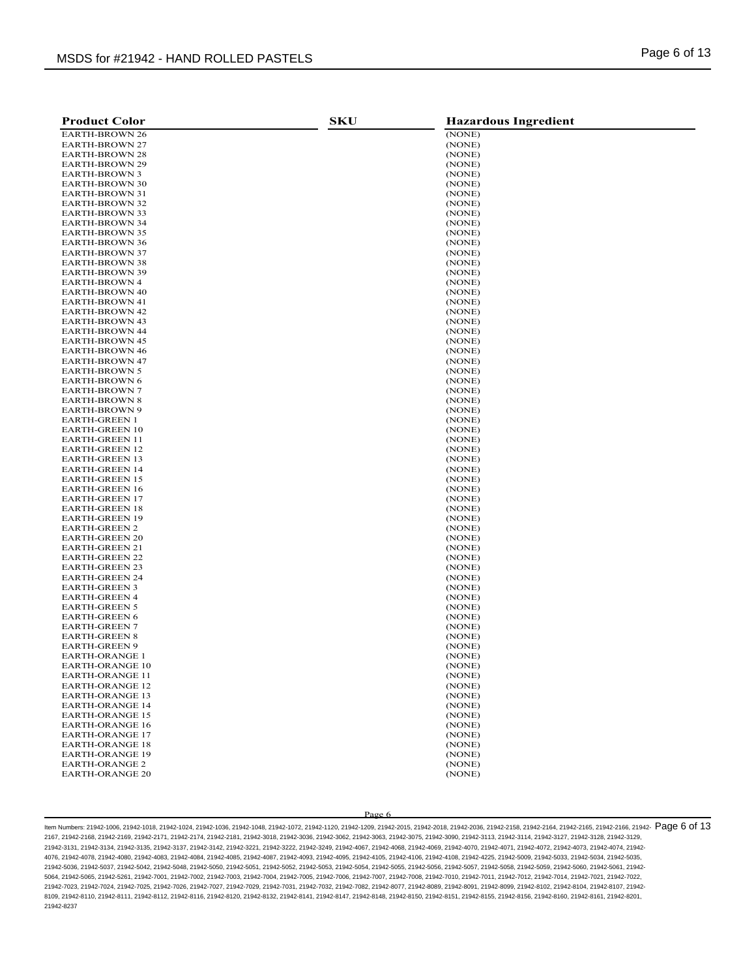| <b>Product Color</b>                             | <b>SKU</b> | <b>Hazardous Ingredient</b> |
|--------------------------------------------------|------------|-----------------------------|
| <b>EARTH-BROWN 26</b>                            |            | (NONE)                      |
| <b>EARTH-BROWN 27</b>                            |            | (NONE)                      |
| EARTH-BROWN 28                                   |            | (NONE)                      |
| EARTH-BROWN 29                                   |            | (NONE)                      |
| <b>EARTH-BROWN 3</b>                             |            | (NONE)                      |
| EARTH-BROWN 30                                   |            | (NONE)                      |
| <b>EARTH-BROWN 31</b>                            |            | (NONE)                      |
| <b>EARTH-BROWN 32</b>                            |            | (NONE)                      |
| EARTH-BROWN 33                                   |            | (NONE)                      |
| <b>EARTH-BROWN 34</b>                            |            | (NONE)                      |
| <b>EARTH-BROWN 35</b>                            |            | (NONE)                      |
| <b>EARTH-BROWN 36</b>                            |            | (NONE)                      |
| <b>EARTH-BROWN 37</b>                            |            | (NONE)                      |
| <b>EARTH-BROWN 38</b>                            |            | (NONE)                      |
| <b>EARTH-BROWN 39</b>                            |            | (NONE)                      |
| <b>EARTH-BROWN 4</b>                             |            | (NONE)                      |
| <b>EARTH-BROWN 40</b>                            |            | (NONE)                      |
| <b>EARTH-BROWN 41</b>                            |            | (NONE)                      |
| EARTH-BROWN 42                                   |            | (NONE)                      |
| <b>EARTH-BROWN 43</b>                            |            | (NONE)                      |
| EARTH-BROWN 44                                   |            | (NONE)                      |
| <b>EARTH-BROWN 45</b>                            |            | (NONE)                      |
| <b>EARTH-BROWN 46</b>                            |            | (NONE)                      |
| <b>EARTH-BROWN 47</b>                            |            | (NONE)                      |
| <b>EARTH-BROWN 5</b>                             |            | (NONE)                      |
| <b>EARTH-BROWN 6</b>                             |            | (NONE)                      |
| <b>EARTH-BROWN 7</b>                             |            | (NONE)                      |
| <b>EARTH-BROWN 8</b>                             |            | (NONE)                      |
| <b>EARTH-BROWN 9</b>                             |            | (NONE)                      |
| <b>EARTH-GREEN 1</b>                             |            | (NONE)                      |
| <b>EARTH-GREEN 10</b>                            |            | (NONE)<br>(NONE)            |
| <b>EARTH-GREEN 11</b><br><b>EARTH-GREEN 12</b>   |            | (NONE)                      |
| <b>EARTH-GREEN 13</b>                            |            | (NONE)                      |
| <b>EARTH-GREEN 14</b>                            |            | (NONE)                      |
| EARTH-GREEN 15                                   |            | (NONE)                      |
| <b>EARTH-GREEN 16</b>                            |            | (NONE)                      |
| <b>EARTH-GREEN 17</b>                            |            | (NONE)                      |
| <b>EARTH-GREEN 18</b>                            |            | (NONE)                      |
| <b>EARTH-GREEN 19</b>                            |            | (NONE)                      |
| <b>EARTH-GREEN 2</b>                             |            | (NONE)                      |
| EARTH-GREEN 20                                   |            | (NONE)                      |
| EARTH-GREEN 21                                   |            | (NONE)                      |
| <b>EARTH-GREEN 22</b>                            |            | (NONE)                      |
| EARTH-GREEN 23                                   |            | (NONE)                      |
| <b>EARTH-GREEN 24</b>                            |            | (NONE)                      |
| <b>EARTH-GREEN 3</b>                             |            | (NONE)                      |
| <b>EARTH-GREEN 4</b>                             |            | (NONE)                      |
| <b>EARTH-GREEN 5</b>                             |            | (NONE)                      |
| <b>EARTH-GREEN 6</b>                             |            | (NONE)                      |
| <b>EARTH-GREEN 7</b>                             |            | (NONE)                      |
| EARTH-GREEN 8                                    |            | (NONE)                      |
| EARTH-GREEN 9                                    |            | (NONE)                      |
| <b>EARTH-ORANGE 1</b>                            |            | (NONE)                      |
| EARTH-ORANGE 10                                  |            | (NONE)                      |
| <b>EARTH-ORANGE 11</b>                           |            | (NONE)                      |
| <b>EARTH-ORANGE 12</b>                           |            | (NONE)                      |
| <b>EARTH-ORANGE 13</b>                           |            | (NONE)                      |
| <b>EARTH-ORANGE 14</b>                           |            | (NONE)                      |
| <b>EARTH-ORANGE 15</b>                           |            | (NONE)                      |
| <b>EARTH-ORANGE 16</b>                           |            | (NONE)                      |
| <b>EARTH-ORANGE 17</b><br><b>EARTH-ORANGE 18</b> |            | (NONE)                      |
|                                                  |            | (NONE)<br>(NONE)            |
| <b>EARTH-ORANGE 19</b>                           |            |                             |
| <b>EARTH-ORANGE 2</b><br><b>EARTH-ORANGE 20</b>  |            | (NONE)<br>(NONE)            |
|                                                  |            |                             |

ltem Numbers: 21942-1006, 21942-1018, 21942-1024, 21942-1036, 21942-1048, 21942-1072, 21942-1120, 21942-2036, 21942-2016, 21942-2018, 21942-2168, 21942-2164, 21942-2166, 21942-2166, 21942-2166, 21942-2166, 21942-2166, 2194 2167, 21942-2168, 21942-2169, 21942-2171, 21942-2174, 21942-2181, 21942-3018, 21942-3036, 21942-3062, 21942-3063, 21942-3075, 21942-3090, 21942-3113, 21942-3114, 21942-3127, 21942-3128, 21942-3129, 21942-3131, 21942-3134, 21942-3135, 21942-3137, 21942-3142, 21942-3221, 21942-3222, 21942-3249, 21942-4067, 21942-4068, 21942-4069, 21942-4070, 21942-4071, 21942-4072, 21942-4073, 21942-4074, 21942- 4076, 21942-4078, 21942-4080, 21942-4083, 21942-4084, 21942-4085, 21942-4087, 21942-4093, 21942-4095, 21942-4105, 21942-4106, 21942-4108, 21942-4225, 21942-5009, 21942-5033, 21942-5034, 21942-5035, 21942-5036, 21942-5037, 21942-5042, 21942-5048, 21942-5050, 21942-5051, 21942-5052, 21942-5053, 21942-5054, 21942-5055, 21942-5056, 21942-5057, 21942-5058, 21942-5059, 21942-5060, 21942-5061, 21942- 5064, 21942-5065, 21942-5261, 21942-7001, 21942-7002, 21942-7003, 21942-7004, 21942-7005, 21942-7006, 21942-7007, 21942-7008, 21942-7010, 21942-7011, 21942-7012, 21942-7014, 21942-7021, 21942-7022, 21942-7023, 21942-7024, 21942-7025, 21942-7026, 21942-7027, 21942-7029, 21942-7031, 21942-7032, 21942-7082, 21942-8077, 21942-8089, 21942-8091, 21942-8099, 21942-8102, 21942-8104, 21942-8107, 21942- 8109, 21942-8110, 21942-8111, 21942-8112, 21942-8116, 21942-8120, 21942-8132, 21942-8141, 21942-8147, 21942-8148, 21942-8150, 21942-8151, 21942-8155, 21942-8156, 21942-8160, 21942-8161, 21942-8201, 21942-8237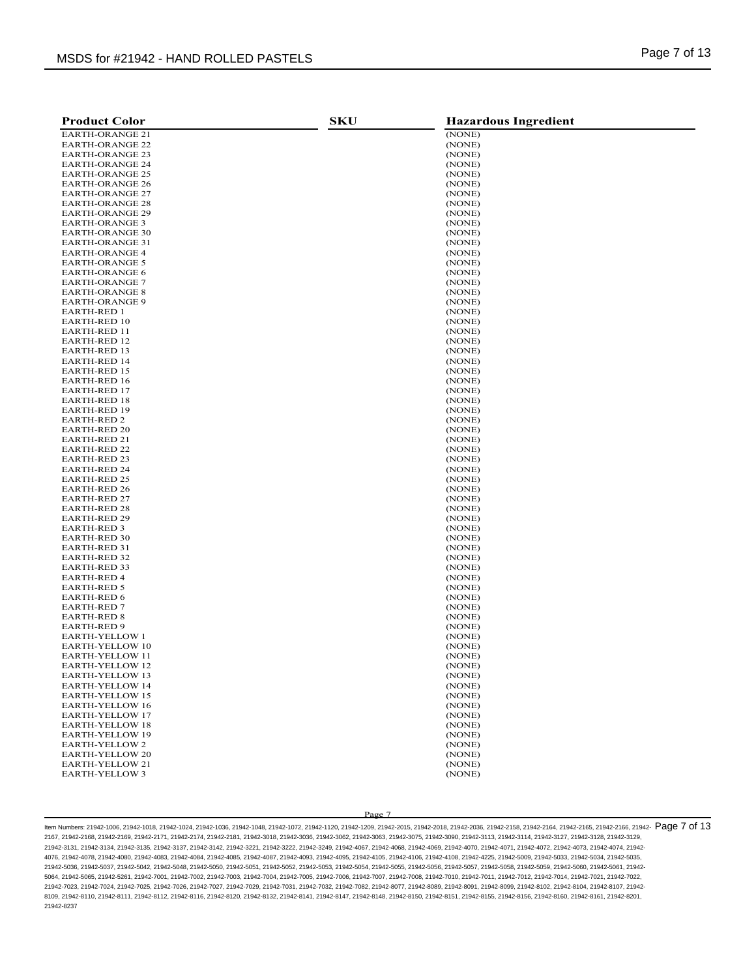| <b>Product Color</b>                | <b>SKU</b> | <b>Hazardous Ingredient</b> |
|-------------------------------------|------------|-----------------------------|
| <b>EARTH-ORANGE 21</b>              |            | (NONE)                      |
| <b>EARTH-ORANGE 22</b>              |            | (NONE)                      |
| <b>EARTH-ORANGE 23</b>              |            | (NONE)                      |
| <b>EARTH-ORANGE 24</b>              |            | (NONE)                      |
| <b>EARTH-ORANGE 25</b>              |            | (NONE)                      |
| <b>EARTH-ORANGE 26</b>              |            | (NONE)                      |
| <b>EARTH-ORANGE 27</b>              |            | (NONE)                      |
| <b>EARTH-ORANGE 28</b>              |            | (NONE)                      |
| <b>EARTH-ORANGE 29</b>              |            | (NONE)                      |
| EARTH-ORANGE 3                      |            | (NONE)                      |
| <b>EARTH-ORANGE 30</b>              |            | (NONE)                      |
| <b>EARTH-ORANGE 31</b>              |            | (NONE)                      |
| <b>EARTH-ORANGE 4</b>               |            | (NONE)                      |
| <b>EARTH-ORANGE 5</b>               |            | (NONE)                      |
| <b>EARTH-ORANGE 6</b>               |            | (NONE)                      |
| <b>EARTH-ORANGE 7</b>               |            | (NONE)                      |
| <b>EARTH-ORANGE 8</b>               |            | (NONE)                      |
| <b>EARTH-ORANGE 9</b>               |            | (NONE)                      |
| <b>EARTH-RED 1</b>                  |            | (NONE)                      |
| <b>EARTH-RED 10</b>                 |            | (NONE)                      |
| EARTH-RED 11                        |            | (NONE)                      |
| EARTH-RED 12                        |            | (NONE)                      |
| <b>EARTH-RED 13</b>                 |            | (NONE)                      |
| <b>EARTH-RED 14</b>                 |            | (NONE)                      |
| EARTH-RED 15                        |            | (NONE)                      |
| EARTH-RED 16                        |            | (NONE)                      |
| EARTH-RED 17                        |            | (NONE)                      |
| <b>EARTH-RED 18</b>                 |            | (NONE)                      |
| EARTH-RED 19                        |            | (NONE)                      |
| EARTH-RED 2                         |            | (NONE)                      |
| EARTH-RED 20                        |            | (NONE)                      |
| EARTH-RED 21<br><b>EARTH-RED 22</b> |            | (NONE)                      |
| <b>EARTH-RED 23</b>                 |            | (NONE)<br>(NONE)            |
| <b>EARTH-RED 24</b>                 |            | (NONE)                      |
| <b>EARTH-RED 25</b>                 |            | (NONE)                      |
| <b>EARTH-RED 26</b>                 |            | (NONE)                      |
| <b>EARTH-RED 27</b>                 |            | (NONE)                      |
| EARTH-RED 28                        |            | (NONE)                      |
| <b>EARTH-RED 29</b>                 |            | (NONE)                      |
| EARTH-RED 3                         |            | (NONE)                      |
| <b>EARTH-RED 30</b>                 |            | (NONE)                      |
| EARTH-RED 31                        |            | (NONE)                      |
| EARTH-RED 32                        |            | (NONE)                      |
| EARTH-RED 33                        |            | (NONE)                      |
| EARTH-RED 4                         |            | (NONE)                      |
| EARTH-RED 5                         |            | (NONE)                      |
| <b>EARTH-RED 6</b>                  |            | (NONE)                      |
| EARTH-RED 7                         |            | (NONE)                      |
| EARTH-RED 8                         |            | (NONE)                      |
| <b>EARTH-RED 9</b>                  |            | (NONE)                      |
| <b>EARTH-YELLOW 1</b>               |            | (NONE)                      |
| EARTH-YELLOW 10                     |            | (NONE)                      |
| <b>EARTH-YELLOW 11</b>              |            | (NONE)                      |
| <b>EARTH-YELLOW 12</b>              |            | (NONE)                      |
| <b>EARTH-YELLOW 13</b>              |            | (NONE)                      |
| <b>EARTH-YELLOW 14</b>              |            | (NONE)                      |
| <b>EARTH-YELLOW 15</b>              |            | (NONE)                      |
| EARTH-YELLOW 16                     |            | (NONE)                      |
| <b>EARTH-YELLOW 17</b>              |            | (NONE)                      |
| <b>EARTH-YELLOW 18</b>              |            | (NONE)                      |
| <b>EARTH-YELLOW 19</b>              |            | (NONE)                      |
| EARTH-YELLOW 2                      |            | (NONE)                      |
| <b>EARTH-YELLOW 20</b>              |            | (NONE)                      |
| <b>EARTH-YELLOW 21</b>              |            | (NONE)                      |
| <b>EARTH-YELLOW 3</b>               |            | (NONE)                      |

ltem Numbers: 21942-1006, 21942-1018, 21942-1024, 21942-1036, 21942-1048, 21942-1072, 21942-1120, 21942-2036, 21942-2016, 21942-2016, 21942-2168, 21942-2164, 21942-2166, 21942-2166, 21942-2166, 21942-2166, 21942-2166, 2194 2167, 21942-2168, 21942-2169, 21942-2171, 21942-2174, 21942-2181, 21942-3018, 21942-3036, 21942-3062, 21942-3063, 21942-3075, 21942-3090, 21942-3113, 21942-3114, 21942-3127, 21942-3128, 21942-3129, 21942-3131, 21942-3134, 21942-3135, 21942-3137, 21942-3142, 21942-3221, 21942-3222, 21942-3249, 21942-4067, 21942-4068, 21942-4069, 21942-4070, 21942-4071, 21942-4072, 21942-4073, 21942-4074, 21942- 4076, 21942-4078, 21942-4080, 21942-4083, 21942-4084, 21942-4085, 21942-4087, 21942-4093, 21942-4095, 21942-4105, 21942-4106, 21942-4108, 21942-4225, 21942-5009, 21942-5033, 21942-5034, 21942-5035, 21942-5036, 21942-5037, 21942-5042, 21942-5048, 21942-5050, 21942-5051, 21942-5052, 21942-5053, 21942-5054, 21942-5055, 21942-5056, 21942-5057, 21942-5058, 21942-5059, 21942-5060, 21942-5061, 21942- 5064, 21942-5065, 21942-5261, 21942-7001, 21942-7002, 21942-7003, 21942-7004, 21942-7005, 21942-7006, 21942-7007, 21942-7008, 21942-7010, 21942-7011, 21942-7012, 21942-7014, 21942-7021, 21942-7022, 21942-7023, 21942-7024, 21942-7025, 21942-7026, 21942-7027, 21942-7029, 21942-7031, 21942-7032, 21942-7082, 21942-8077, 21942-8089, 21942-8091, 21942-8099, 21942-8102, 21942-8104, 21942-8107, 21942- 8109, 21942-8110, 21942-8111, 21942-8112, 21942-8116, 21942-8120, 21942-8132, 21942-8141, 21942-8147, 21942-8148, 21942-8150, 21942-8151, 21942-8155, 21942-8156, 21942-8160, 21942-8161, 21942-8201, 21942-8237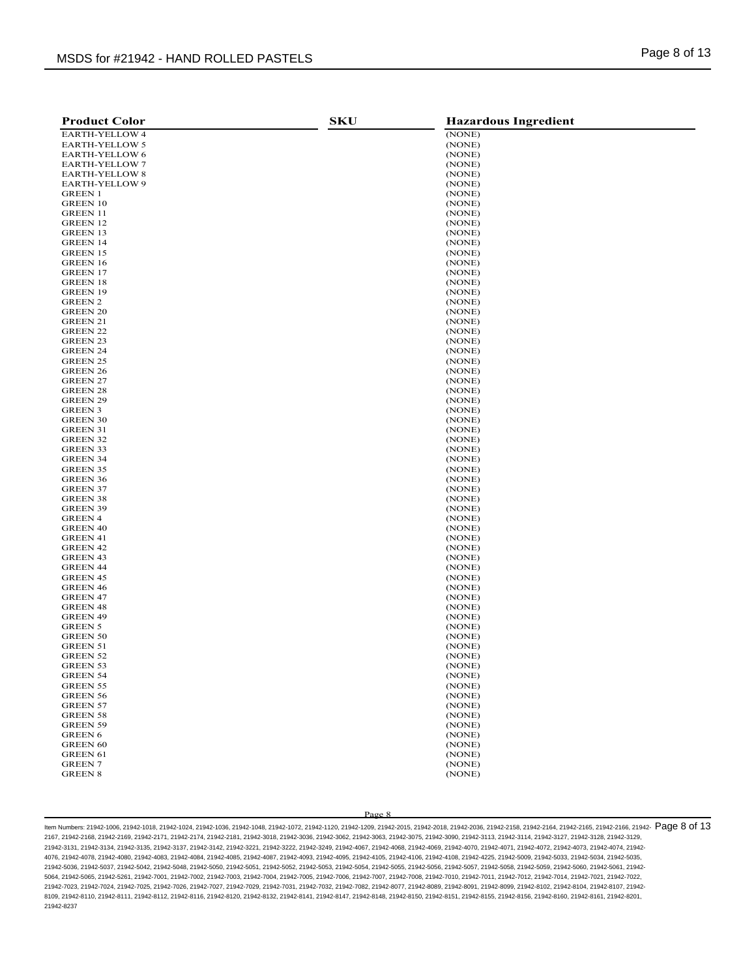| <b>Product Color</b>        | <b>SKU</b> | <b>Hazardous Ingredient</b> |
|-----------------------------|------------|-----------------------------|
| EARTH-YELLOW 4              |            | (NONE)                      |
| <b>EARTH-YELLOW 5</b>       |            | (NONE)                      |
| <b>EARTH-YELLOW 6</b>       |            | (NONE)                      |
| <b>EARTH-YELLOW 7</b>       |            | (NONE)                      |
| EARTH-YELLOW 8              |            | (NONE)                      |
| EARTH-YELLOW 9              |            | (NONE)                      |
| <b>GREEN 1</b>              |            | (NONE)                      |
| <b>GREEN 10</b>             |            | (NONE)                      |
| GREEN 11                    |            | (NONE)                      |
| GREEN 12                    |            | (NONE)                      |
| GREEN 13                    |            | (NONE)                      |
| <b>GREEN 14</b>             |            | (NONE)                      |
| GREEN 15                    |            | (NONE)                      |
| <b>GREEN 16</b>             |            | (NONE)                      |
| <b>GREEN 17</b>             |            | (NONE)                      |
| GREEN 18                    |            | (NONE)                      |
| GREEN 19                    |            | (NONE)                      |
| GREEN 2                     |            | (NONE)                      |
| <b>GREEN 20</b>             |            | (NONE)                      |
| GREEN 21                    |            | (NONE)                      |
| GREEN 22                    |            | (NONE)                      |
| GREEN 23                    |            | (NONE)                      |
| <b>GREEN 24</b>             |            | (NONE)                      |
| GREEN 25<br><b>GREEN 26</b> |            | (NONE)                      |
| <b>GREEN 27</b>             |            | (NONE)<br>(NONE)            |
| <b>GREEN 28</b>             |            | (NONE)                      |
| <b>GREEN 29</b>             |            | (NONE)                      |
| GREEN 3                     |            | (NONE)                      |
| <b>GREEN 30</b>             |            | (NONE)                      |
| <b>GREEN 31</b>             |            | (NONE)                      |
| <b>GREEN 32</b>             |            | (NONE)                      |
| <b>GREEN 33</b>             |            | (NONE)                      |
| <b>GREEN 34</b>             |            | (NONE)                      |
| GREEN 35                    |            | (NONE)                      |
| GREEN 36                    |            | (NONE)                      |
| <b>GREEN 37</b>             |            | (NONE)                      |
| GREEN 38                    |            | (NONE)                      |
| GREEN 39                    |            | (NONE)                      |
| <b>GREEN 4</b>              |            | (NONE)                      |
| <b>GREEN 40</b>             |            | (NONE)                      |
| GREEN 41                    |            | (NONE)                      |
| GREEN 42                    |            | (NONE)                      |
| GREEN 43                    |            | (NONE)                      |
| <b>GREEN 44</b>             |            | (NONE)                      |
| GREEN 45                    |            | (NONE)                      |
| GREEN 46                    |            | (NONE)                      |
| <b>GREEN 47</b>             |            | (NONE)                      |
| GREEN 48                    |            | (NONE)                      |
| GREEN 49                    |            | (NONE)                      |
| GREEN 5                     |            | (NONE)                      |
| <b>GREEN 50</b>             |            | (NONE)                      |
| GREEN 51<br><b>GREEN 52</b> |            | (NONE)<br>(NONE)            |
| GREEN 53                    |            | (NONE)                      |
| <b>GREEN 54</b>             |            | (NONE)                      |
| <b>GREEN 55</b>             |            | (NONE)                      |
| <b>GREEN 56</b>             |            | (NONE)                      |
| <b>GREEN 57</b>             |            | (NONE)                      |
| <b>GREEN 58</b>             |            | (NONE)                      |
| <b>GREEN 59</b>             |            | (NONE)                      |
| <b>GREEN 6</b>              |            | (NONE)                      |
| <b>GREEN 60</b>             |            | (NONE)                      |
| <b>GREEN 61</b>             |            | (NONE)                      |
| <b>GREEN 7</b>              |            | (NONE)                      |
| <b>GREEN 8</b>              |            | (NONE)                      |
|                             |            |                             |

ltem Numbers: 21942-1006, 21942-1018, 21942-1024, 21942-1036, 21942-1048, 21942-1072, 21942-1120, 21942-2036, 21942-2018, 21942-2018, 21942-2168, 21942-2164, 21942-2166, 21942-2166, 21942-2166, 21942-2166, 21942-2166, 2194 2167, 21942-2168, 21942-2169, 21942-2171, 21942-2174, 21942-2181, 21942-3018, 21942-3036, 21942-3062, 21942-3063, 21942-3075, 21942-3090, 21942-3113, 21942-3114, 21942-3127, 21942-3128, 21942-3129, 21942-3131, 21942-3134, 21942-3135, 21942-3137, 21942-3142, 21942-3221, 21942-3222, 21942-3249, 21942-4067, 21942-4068, 21942-4069, 21942-4070, 21942-4071, 21942-4072, 21942-4073, 21942-4074, 21942- 4076, 21942-4078, 21942-4080, 21942-4083, 21942-4084, 21942-4085, 21942-4087, 21942-4093, 21942-4095, 21942-4105, 21942-4106, 21942-4108, 21942-4225, 21942-5009, 21942-5033, 21942-5034, 21942-5035, 21942-5036, 21942-5037, 21942-5042, 21942-5048, 21942-5050, 21942-5051, 21942-5052, 21942-5053, 21942-5054, 21942-5055, 21942-5056, 21942-5057, 21942-5058, 21942-5059, 21942-5060, 21942-5061, 21942- 5064, 21942-5065, 21942-5261, 21942-7001, 21942-7002, 21942-7003, 21942-7004, 21942-7005, 21942-7006, 21942-7007, 21942-7008, 21942-7010, 21942-7011, 21942-7012, 21942-7014, 21942-7021, 21942-7022, 21942-7023, 21942-7024, 21942-7025, 21942-7026, 21942-7027, 21942-7029, 21942-7031, 21942-7032, 21942-7082, 21942-8077, 21942-8089, 21942-8091, 21942-8099, 21942-8102, 21942-8104, 21942-8107, 21942- 8109, 21942-8110, 21942-8111, 21942-8112, 21942-8116, 21942-8120, 21942-8132, 21942-8141, 21942-8147, 21942-8148, 21942-8150, 21942-8151, 21942-8155, 21942-8156, 21942-8160, 21942-8161, 21942-8201, 21942-8237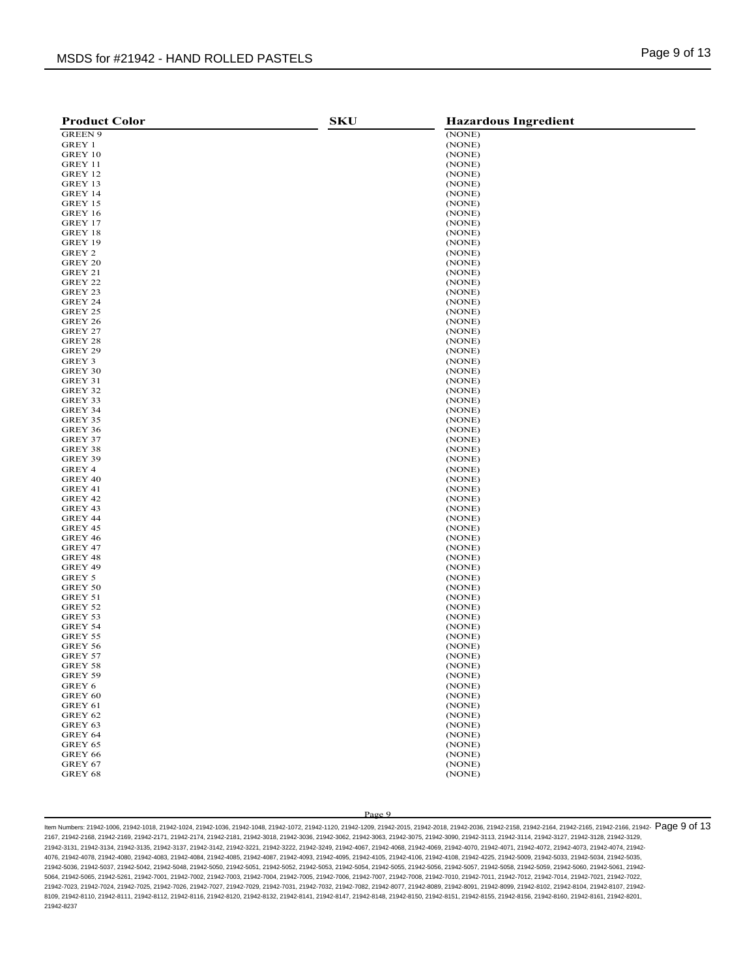| <b>Product Color</b> | <b>SKU</b> | <b>Hazardous Ingredient</b> |
|----------------------|------------|-----------------------------|
| <b>GREEN 9</b>       |            | (NONE)                      |
| GREY 1               |            | (NONE)                      |
| GREY 10              |            | (NONE)                      |
| GREY 11              |            | (NONE)                      |
| GREY 12              |            | (NONE)                      |
| GREY 13              |            | (NONE)                      |
| GREY 14              |            | (NONE)                      |
| GREY 15              |            | (NONE)                      |
| GREY 16              |            | (NONE)                      |
| GREY 17              |            | (NONE)                      |
| GREY 18              |            | (NONE)                      |
| GREY 19              |            | (NONE)                      |
| GREY 2               |            | (NONE)                      |
| GREY 20              |            | (NONE)                      |
| GREY 21              |            | (NONE)                      |
| GREY 22              |            | (NONE)                      |
| GREY 23              |            | (NONE)                      |
| GREY 24              |            | (NONE)                      |
| GREY 25              |            | (NONE)                      |
| GREY 26              |            | (NONE)                      |
| GREY 27              |            | (NONE)                      |
| GREY 28              |            | (NONE)                      |
| GREY 29<br>GREY 3    |            | (NONE)<br>(NONE)            |
| GREY 30              |            | (NONE)                      |
| GREY 31              |            | (NONE)                      |
| GREY 32              |            | (NONE)                      |
| GREY 33              |            | (NONE)                      |
| GREY 34              |            | (NONE)                      |
| GREY 35              |            | (NONE)                      |
| GREY 36              |            | (NONE)                      |
| GREY 37              |            | (NONE)                      |
| GREY 38              |            | (NONE)                      |
| GREY 39              |            | (NONE)                      |
| GREY 4               |            | (NONE)                      |
| GREY 40              |            | (NONE)                      |
| GREY 41              |            | (NONE)                      |
| GREY 42              |            | (NONE)                      |
| GREY 43              |            | (NONE)                      |
| GREY 44              |            | (NONE)                      |
| GREY 45              |            | (NONE)                      |
| GREY 46              |            | (NONE)                      |
| GREY 47              |            | (NONE)                      |
| GREY 48              |            | (NONE)                      |
| GREY 49              |            | (NONE)                      |
| GREY 5               |            | (NONE)                      |
| GREY 50              |            | (NONE)                      |
| GREY 51              |            | (NONE)                      |
| GREY 52              |            | (NONE)                      |
| GREY 53              |            | (NONE)                      |
| GREY 54<br>GREY 55   |            | (NONE)<br>(NONE)            |
| GREY 56              |            | (NONE)                      |
| GREY 57              |            | (NONE)                      |
| GREY 58              |            | (NONE)                      |
| GREY 59              |            | (NONE)                      |
| GREY 6               |            | (NONE)                      |
| GREY 60              |            | (NONE)                      |
| GREY 61              |            | (NONE)                      |
| GREY 62              |            | (NONE)                      |
| GREY 63              |            | (NONE)                      |
| GREY 64              |            | (NONE)                      |
| GREY 65              |            | (NONE)                      |
| GREY 66              |            | (NONE)                      |
| GREY 67              |            | (NONE)                      |
| GREY 68              |            | (NONE)                      |
|                      |            |                             |

ltem Numbers: 21942-1006, 21942-1018, 21942-1024, 21942-1036, 21942-1048, 21942-1072, 21942-1120, 21942-2036, 21942-2016, 21942-2016, 21942-2168, 21942-2164, 21942-2166, 21942-2166, 21942-2166, 21942-2166, 21942-2166, 2194 2167, 21942-2168, 21942-2169, 21942-2171, 21942-2174, 21942-2181, 21942-3018, 21942-3036, 21942-3062, 21942-3063, 21942-3075, 21942-3090, 21942-3113, 21942-3114, 21942-3127, 21942-3128, 21942-3129, 21942-3131, 21942-3134, 21942-3135, 21942-3137, 21942-3142, 21942-3221, 21942-3222, 21942-3249, 21942-4067, 21942-4068, 21942-4069, 21942-4070, 21942-4071, 21942-4072, 21942-4073, 21942-4074, 21942- 4076, 21942-4078, 21942-4080, 21942-4083, 21942-4084, 21942-4085, 21942-4087, 21942-4093, 21942-4095, 21942-4105, 21942-4106, 21942-4108, 21942-4225, 21942-5009, 21942-5033, 21942-5034, 21942-5035, 21942-5036, 21942-5037, 21942-5042, 21942-5048, 21942-5050, 21942-5051, 21942-5052, 21942-5053, 21942-5054, 21942-5055, 21942-5056, 21942-5057, 21942-5058, 21942-5059, 21942-5060, 21942-5061, 21942- 5064, 21942-5065, 21942-5261, 21942-7001, 21942-7002, 21942-7003, 21942-7004, 21942-7005, 21942-7006, 21942-7007, 21942-7008, 21942-7010, 21942-7011, 21942-7012, 21942-7014, 21942-7021, 21942-7022, 21942-7023, 21942-7024, 21942-7025, 21942-7026, 21942-7027, 21942-7029, 21942-7031, 21942-7032, 21942-7082, 21942-8077, 21942-8089, 21942-8091, 21942-8099, 21942-8102, 21942-8104, 21942-8107, 21942- 8109, 21942-8110, 21942-8111, 21942-8112, 21942-8116, 21942-8120, 21942-8132, 21942-8141, 21942-8147, 21942-8148, 21942-8150, 21942-8151, 21942-8155, 21942-8156, 21942-8160, 21942-8161, 21942-8201, 21942-8237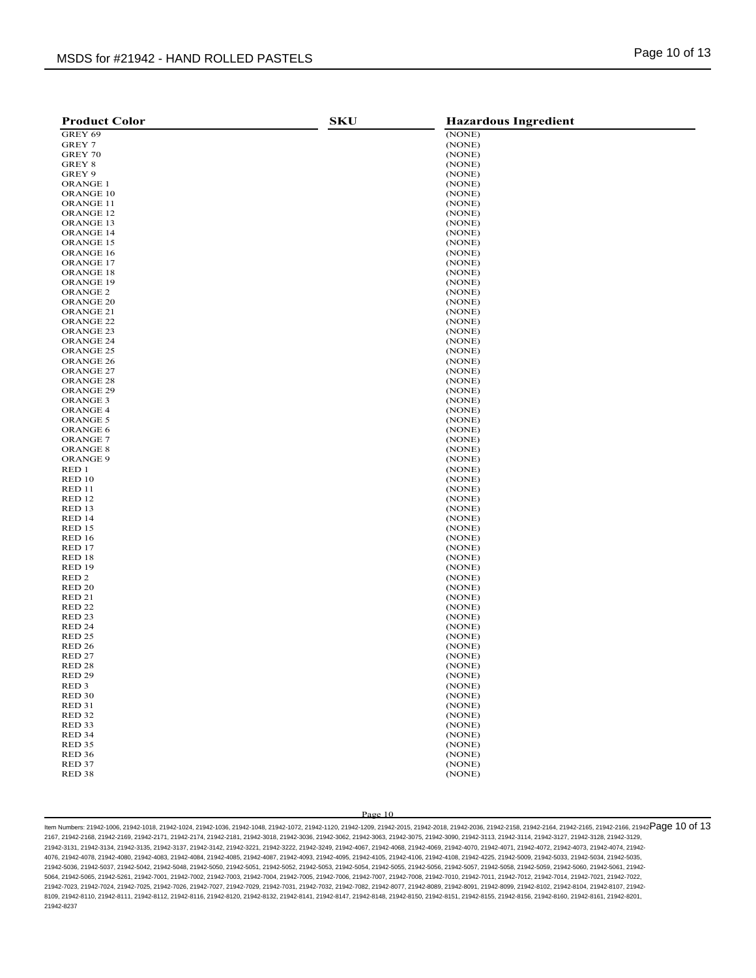| <b>Product Color</b> | <b>SKU</b> | <b>Hazardous Ingredient</b> |
|----------------------|------------|-----------------------------|
| GREY 69              |            | (NONE)                      |
| GREY 7               |            | (NONE)                      |
| GREY 70              |            | (NONE)                      |
| GREY 8               |            | (NONE)                      |
| GREY 9               |            | (NONE)                      |
| <b>ORANGE 1</b>      |            | (NONE)                      |
| ORANGE 10            |            | (NONE)                      |
| <b>ORANGE 11</b>     |            | (NONE)                      |
| ORANGE <sub>12</sub> |            | (NONE)                      |
| ORANGE 13            |            | (NONE)                      |
| <b>ORANGE 14</b>     |            | (NONE)                      |
| ORANGE 15            |            | (NONE)                      |
| ORANGE 16            |            | (NONE)                      |
| ORANGE 17            |            | (NONE)                      |
| ORANGE 18            |            | (NONE)                      |
| ORANGE 19            |            | (NONE)                      |
| ORANGE <sub>2</sub>  |            | (NONE)                      |
| ORANGE <sub>20</sub> |            | (NONE)                      |
| ORANGE <sub>21</sub> |            | (NONE)                      |
| ORANGE <sub>22</sub> |            | (NONE)                      |
| ORANGE <sub>23</sub> |            | (NONE)                      |
| ORANGE 24            |            | (NONE)                      |
| ORANGE <sub>25</sub> |            | (NONE)                      |
| ORANGE <sub>26</sub> |            | (NONE)                      |
| ORANGE 27            |            | (NONE)                      |
| ORANGE 28            |            | (NONE)                      |
| ORANGE <sub>29</sub> |            | (NONE)                      |
| ORANGE <sub>3</sub>  |            | (NONE)                      |
| ORANGE <sub>4</sub>  |            | (NONE)                      |
| <b>ORANGE 5</b>      |            | (NONE)                      |
| ORANGE 6             |            | (NONE)                      |
| <b>ORANGE 7</b>      |            | (NONE)                      |
| <b>ORANGE 8</b>      |            | (NONE)                      |
| ORANGE 9             |            | (NONE)                      |
| RED 1                |            | (NONE)                      |
| RED 10               |            | (NONE)                      |
| <b>RED 11</b>        |            | (NONE)                      |
| RED <sub>12</sub>    |            | (NONE)                      |
| RED 13               |            | (NONE)                      |
| RED 14               |            | (NONE)                      |
| RED 15               |            | (NONE)                      |
| <b>RED 16</b>        |            | (NONE)                      |
| RED 17               |            | (NONE)                      |
| RED 18               |            | (NONE)                      |
| RED 19               |            | (NONE)                      |
| RED <sub>2</sub>     |            | (NONE)                      |
| <b>RED 20</b>        |            | (NONE)                      |
| RED <sub>21</sub>    |            | (NONE)                      |
| <b>RED 22</b>        |            | (NONE)                      |
| RED <sub>23</sub>    |            | (NONE)                      |
| RED <sub>24</sub>    |            | (NONE)                      |
| RED <sub>25</sub>    |            | (NONE)                      |
| <b>RED 26</b>        |            | (NONE)                      |
| <b>RED 27</b>        |            | (NONE)                      |
| RED <sub>28</sub>    |            | (NONE)                      |
| <b>RED 29</b>        |            | (NONE)                      |
| RED <sub>3</sub>     |            | (NONE)                      |
| RED <sub>30</sub>    |            | (NONE)                      |
| <b>RED 31</b>        |            | (NONE)                      |
| <b>RED 32</b>        |            | (NONE)                      |
| RED <sub>33</sub>    |            | (NONE)                      |
| RED 34               |            | (NONE)                      |
| RED <sub>35</sub>    |            | (NONE)                      |
| RED <sub>36</sub>    |            | (NONE)                      |
| RED <sub>37</sub>    |            | (NONE)                      |
| RED <sub>38</sub>    |            | (NONE)                      |

ltem Numbers: 21942-1006, 21942-1018, 21942-1024, 21942-1036, 21942-1048, 21942-1072, 21942-1120, 21942-203, 21942-2015, 21942-2018, 21942-2168, 21942-2164, 21942-2165, 21942-2166, 21942-2166, 21942-2166, 21942-2166, 21942 2167, 21942-2168, 21942-2169, 21942-2171, 21942-2174, 21942-2181, 21942-3018, 21942-3036, 21942-3062, 21942-3063, 21942-3075, 21942-3090, 21942-3113, 21942-3114, 21942-3127, 21942-3128, 21942-3129, 21942-3131, 21942-3134, 21942-3135, 21942-3137, 21942-3142, 21942-3221, 21942-3222, 21942-3249, 21942-4067, 21942-4068, 21942-4069, 21942-4070, 21942-4071, 21942-4072, 21942-4073, 21942-4074, 21942- 4076, 21942-4078, 21942-4080, 21942-4083, 21942-4084, 21942-4085, 21942-4087, 21942-4093, 21942-4095, 21942-4105, 21942-4106, 21942-4108, 21942-4225, 21942-5009, 21942-5033, 21942-5034, 21942-5035, 21942-5036, 21942-5037, 21942-5042, 21942-5048, 21942-5050, 21942-5051, 21942-5052, 21942-5053, 21942-5054, 21942-5055, 21942-5056, 21942-5057, 21942-5058, 21942-5059, 21942-5060, 21942-5061, 21942- 5064, 21942-5065, 21942-5261, 21942-7001, 21942-7002, 21942-7003, 21942-7004, 21942-7005, 21942-7006, 21942-7007, 21942-7008, 21942-7010, 21942-7011, 21942-7012, 21942-7014, 21942-7021, 21942-7022, 21942-7023, 21942-7024, 21942-7025, 21942-7026, 21942-7027, 21942-7029, 21942-7031, 21942-7032, 21942-7082, 21942-8077, 21942-8089, 21942-8091, 21942-8099, 21942-8102, 21942-8104, 21942-8107, 21942- 8109, 21942-8110, 21942-8111, 21942-8112, 21942-8116, 21942-8120, 21942-8132, 21942-8141, 21942-8147, 21942-8148, 21942-8150, 21942-8151, 21942-8155, 21942-8156, 21942-8160, 21942-8161, 21942-8201, 21942-8237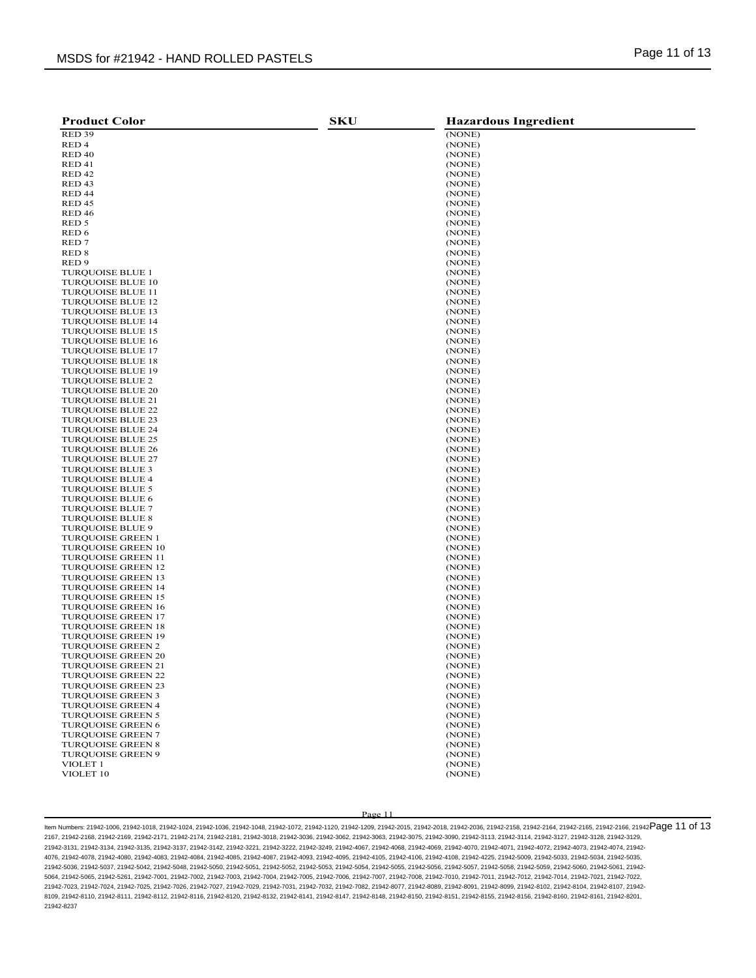| <b>Product Color</b>                                 | <b>SKU</b> | <b>Hazardous Ingredient</b> |
|------------------------------------------------------|------------|-----------------------------|
| <b>RED 39</b>                                        |            | (NONE)                      |
| RED <sub>4</sub>                                     |            | (NONE)                      |
| RED <sub>40</sub>                                    |            | (NONE)                      |
| RED <sub>41</sub>                                    |            | (NONE)                      |
| RED <sub>42</sub>                                    |            | (NONE)                      |
| RED <sub>43</sub>                                    |            | (NONE)                      |
| RED 44                                               |            | (NONE)                      |
| RED <sub>45</sub>                                    |            | (NONE)                      |
| <b>RED 46</b>                                        |            | (NONE)                      |
| RED <sub>5</sub>                                     |            | (NONE)                      |
| RED <sub>6</sub>                                     |            | (NONE)                      |
| RED <sub>7</sub>                                     |            | (NONE)                      |
| RED <sub>8</sub>                                     |            | (NONE)                      |
| RED <sub>9</sub>                                     |            | (NONE)                      |
| <b>TURQUOISE BLUE 1</b>                              |            | (NONE)                      |
| <b>TUROUOISE BLUE 10</b>                             |            | (NONE)                      |
| <b>TURQUOISE BLUE 11</b>                             |            | (NONE)                      |
| <b>TURQUOISE BLUE 12</b>                             |            | (NONE)                      |
| <b>TURQUOISE BLUE 13</b>                             |            | (NONE)                      |
| <b>TURQUOISE BLUE 14</b>                             |            | (NONE)                      |
| <b>TURQUOISE BLUE 15</b>                             |            | (NONE)                      |
| <b>TURQUOISE BLUE 16</b>                             |            | (NONE)                      |
| <b>TURQUOISE BLUE 17</b>                             |            | (NONE)                      |
| <b>TURQUOISE BLUE 18</b>                             |            | (NONE)                      |
| <b>TURQUOISE BLUE 19</b>                             |            | (NONE)                      |
| <b>TURQUOISE BLUE 2</b>                              |            | (NONE)                      |
| <b>TURQUOISE BLUE 20</b>                             |            | (NONE)                      |
| <b>TURQUOISE BLUE 21</b>                             |            | (NONE)                      |
| <b>TURQUOISE BLUE 22</b>                             |            | (NONE)                      |
| <b>TURQUOISE BLUE 23</b>                             |            | (NONE)                      |
| <b>TURQUOISE BLUE 24</b><br><b>TURQUOISE BLUE 25</b> |            | (NONE)<br>(NONE)            |
| <b>TURQUOISE BLUE 26</b>                             |            | (NONE)                      |
| <b>TUROUOISE BLUE 27</b>                             |            | (NONE)                      |
| <b>TURQUOISE BLUE 3</b>                              |            | (NONE)                      |
| <b>TURQUOISE BLUE 4</b>                              |            | (NONE)                      |
| <b>TURQUOISE BLUE 5</b>                              |            | (NONE)                      |
| <b>TURQUOISE BLUE 6</b>                              |            | (NONE)                      |
| <b>TURQUOISE BLUE 7</b>                              |            | (NONE)                      |
| <b>TURQUOISE BLUE 8</b>                              |            | (NONE)                      |
| <b>TURQUOISE BLUE 9</b>                              |            | (NONE)                      |
| <b>TURQUOISE GREEN 1</b>                             |            | (NONE)                      |
| <b>TURQUOISE GREEN 10</b>                            |            | (NONE)                      |
| <b>TURQUOISE GREEN 11</b>                            |            | (NONE)                      |
| <b>TURQUOISE GREEN 12</b>                            |            | (NONE)                      |
| <b>TURQUOISE GREEN 13</b>                            |            | (NONE)                      |
| <b>TURQUOISE GREEN 14</b>                            |            | (NONE)                      |
| <b>TURQUOISE GREEN 15</b>                            |            | (NONE)                      |
| <b>TURQUOISE GREEN 16</b>                            |            | (NONE)                      |
| <b>TURQUOISE GREEN 17</b>                            |            | (NONE)                      |
| <b>TURQUOISE GREEN 18</b>                            |            | (NONE)                      |
| <b>TURQUOISE GREEN 19</b>                            |            | (NONE)                      |
| <b>TURQUOISE GREEN 2</b>                             |            | (NONE)                      |
| <b>TURQUOISE GREEN 20</b>                            |            | (NONE)                      |
| TURQUOISE GREEN 21                                   |            | (NONE)                      |
| <b>TURQUOISE GREEN 22</b>                            |            | (NONE)                      |
| <b>TURQUOISE GREEN 23</b>                            |            | (NONE)                      |
| <b>TURQUOISE GREEN 3</b>                             |            | (NONE)                      |
| <b>TURQUOISE GREEN 4</b>                             |            | (NONE)                      |
| <b>TUROUOISE GREEN 5</b><br><b>TUROUOISE GREEN 6</b> |            | (NONE)                      |
| <b>TURQUOISE GREEN 7</b>                             |            | (NONE)<br>(NONE)            |
| <b>TURQUOISE GREEN 8</b>                             |            | (NONE)                      |
| <b>TURQUOISE GREEN 9</b>                             |            | (NONE)                      |
| VIOLET 1                                             |            | (NONE)                      |
| VIOLET <sub>10</sub>                                 |            | (NONE)                      |
|                                                      |            |                             |

ltem Numbers: 21942-1006, 21942-1018, 21942-1024, 21942-1036, 21942-1048, 21942-1072, 21942-1120, 21942-203, 21942-2015, 21942-2018, 21942-2168, 21942-2164, 21942-2165, 21942-2166, 21942-2166, 21942-2166, 21942-2166, 21942 2167, 21942-2168, 21942-2169, 21942-2171, 21942-2174, 21942-2181, 21942-3018, 21942-3036, 21942-3062, 21942-3063, 21942-3075, 21942-3090, 21942-3113, 21942-3114, 21942-3127, 21942-3128, 21942-3129, 21942-3131, 21942-3134, 21942-3135, 21942-3137, 21942-3142, 21942-3221, 21942-3222, 21942-3249, 21942-4067, 21942-4068, 21942-4069, 21942-4070, 21942-4071, 21942-4072, 21942-4073, 21942-4074, 21942- 4076, 21942-4078, 21942-4080, 21942-4083, 21942-4084, 21942-4085, 21942-4087, 21942-4093, 21942-4095, 21942-4105, 21942-4106, 21942-4108, 21942-4225, 21942-5009, 21942-5033, 21942-5034, 21942-5035, 21942-5036, 21942-5037, 21942-5042, 21942-5048, 21942-5050, 21942-5051, 21942-5052, 21942-5053, 21942-5054, 21942-5055, 21942-5056, 21942-5057, 21942-5058, 21942-5059, 21942-5060, 21942-5061, 21942- 5064, 21942-5065, 21942-5261, 21942-7001, 21942-7002, 21942-7003, 21942-7004, 21942-7005, 21942-7006, 21942-7007, 21942-7008, 21942-7010, 21942-7011, 21942-7012, 21942-7014, 21942-7021, 21942-7022, 21942-7023, 21942-7024, 21942-7025, 21942-7026, 21942-7027, 21942-7029, 21942-7031, 21942-7032, 21942-7082, 21942-8077, 21942-8089, 21942-8091, 21942-8099, 21942-8102, 21942-8104, 21942-8107, 21942- 8109, 21942-8110, 21942-8111, 21942-8112, 21942-8116, 21942-8120, 21942-8132, 21942-8141, 21942-8147, 21942-8148, 21942-8150, 21942-8151, 21942-8155, 21942-8156, 21942-8160, 21942-8161, 21942-8201, 21942-8237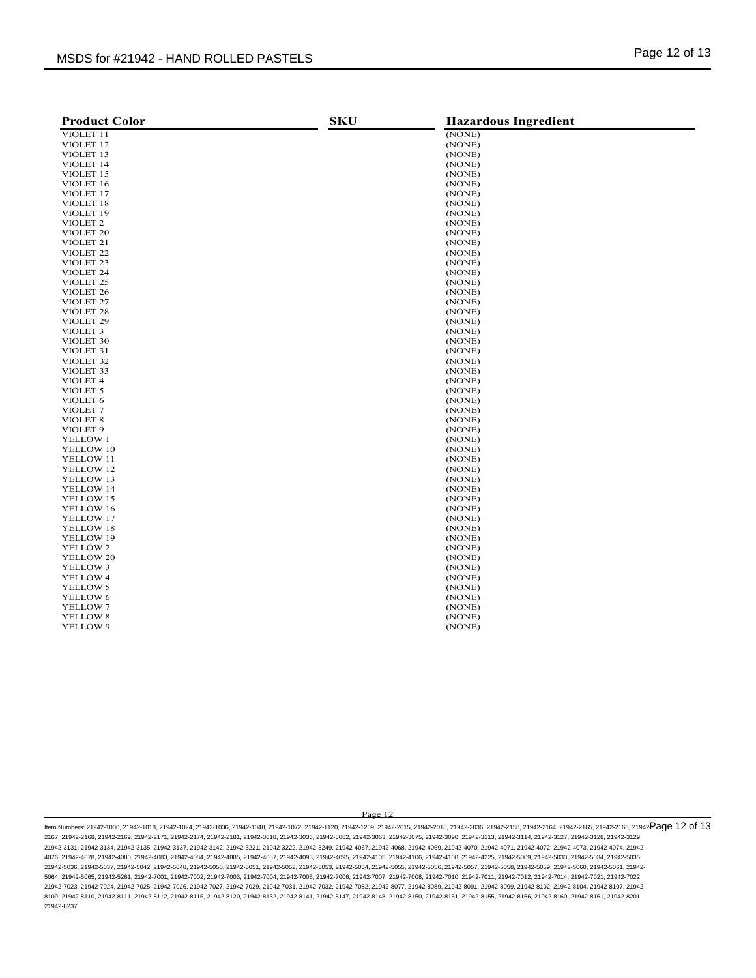| <b>Product Color</b>  | <b>SKU</b> | <b>Hazardous Ingredient</b> |
|-----------------------|------------|-----------------------------|
| VIOLET 11             |            | (NONE)                      |
| VIOLET <sub>12</sub>  |            | (NONE)                      |
| VIOLET 13             |            | (NONE)                      |
| VIOLET 14             |            | (NONE)                      |
| VIOLET 15             |            | (NONE)                      |
| VIOLET 16             |            | (NONE)                      |
| VIOLET 17             |            | (NONE)                      |
| VIOLET 18             |            | (NONE)                      |
| VIOLET <sub>19</sub>  |            | (NONE)                      |
| VIOLET <sub>2</sub>   |            | (NONE)                      |
| VIOLET <sub>20</sub>  |            | (NONE)                      |
| VIOLET <sub>21</sub>  |            | (NONE)                      |
| VIOLET <sub>22</sub>  |            | (NONE)                      |
| VIOLET <sub>23</sub>  |            | (NONE)                      |
| VIOLET <sub>24</sub>  |            | (NONE)                      |
| VIOLET <sub>25</sub>  |            | (NONE)                      |
| VIOLET <sub>26</sub>  |            | (NONE)                      |
| VIOLET <sub>27</sub>  |            | (NONE)                      |
| VIOLET <sub>28</sub>  |            | (NONE)                      |
| VIOLET <sub>29</sub>  |            | (NONE)                      |
| VIOLET <sub>3</sub>   |            | (NONE)                      |
| VIOLET 30             |            | (NONE)                      |
| VIOLET 31             |            | (NONE)                      |
| VIOLET 32             |            | (NONE)                      |
| VIOLET 33             |            | (NONE)                      |
| VIOLET 4              |            | (NONE)                      |
| VIOLET <sub>5</sub>   |            | (NONE)                      |
| VIOLET 6              |            | (NONE)                      |
| VIOLET <sub>7</sub>   |            | (NONE)                      |
| VIOLET <sub>8</sub>   |            | (NONE)                      |
| VIOLET <sub>9</sub>   |            | (NONE)                      |
|                       |            |                             |
| YELLOW 1<br>YELLOW 10 |            | (NONE)<br>(NONE)            |
| YELLOW 11             |            | (NONE)                      |
| YELLOW 12             |            | (NONE)                      |
|                       |            |                             |
| YELLOW 13             |            | (NONE)                      |
| YELLOW 14             |            | (NONE)                      |
| YELLOW 15             |            | (NONE)                      |
| YELLOW 16             |            | (NONE)                      |
| YELLOW 17             |            | (NONE)                      |
| YELLOW 18             |            | (NONE)                      |
| YELLOW 19             |            | (NONE)                      |
| YELLOW 2              |            | (NONE)                      |
| YELLOW 20             |            | (NONE)                      |
| YELLOW 3              |            | (NONE)                      |
| YELLOW 4              |            | (NONE)                      |
| YELLOW 5              |            | (NONE)                      |
| YELLOW 6              |            | (NONE)                      |
| YELLOW 7              |            | (NONE)                      |
| YELLOW 8              |            | (NONE)                      |
| YELLOW 9              |            | (NONE)                      |
|                       |            |                             |

ltem Numbers: 21942-1006, 21942-1018, 21942-1024, 21942-1036, 21942-1048, 21942-1072, 21942-1120, 21942-203, 21942-2015, 21942-2018, 21942-2168, 21942-2164, 21942-2166, 21942-2166, 21942-2166, 21942-2166, 21942-2166, 21942 2167, 21942-2168, 21942-2169, 21942-2171, 21942-2174, 21942-2181, 21942-3018, 21942-3036, 21942-3062, 21942-3063, 21942-3075, 21942-3090, 21942-3113, 21942-3114, 21942-3127, 21942-3128, 21942-3129, 21942-3131, 21942-3134, 21942-3135, 21942-3137, 21942-3142, 21942-3221, 21942-3222, 21942-3249, 21942-4067, 21942-4068, 21942-4069, 21942-4070, 21942-4071, 21942-4072, 21942-4073, 21942-4074, 21942- 4076, 21942-4078, 21942-4080, 21942-4083, 21942-4084, 21942-4085, 21942-4087, 21942-4093, 21942-4095, 21942-4105, 21942-4106, 21942-4108, 21942-4225, 21942-5009, 21942-5033, 21942-5034, 21942-5035, 21942-5036, 21942-5037, 21942-5042, 21942-5048, 21942-5050, 21942-5051, 21942-5052, 21942-5053, 21942-5054, 21942-5055, 21942-5056, 21942-5057, 21942-5058, 21942-5059, 21942-5060, 21942-5061, 21942- 5064, 21942-5065, 21942-5261, 21942-7001, 21942-7002, 21942-7003, 21942-7004, 21942-7005, 21942-7006, 21942-7007, 21942-7008, 21942-7010, 21942-7011, 21942-7012, 21942-7014, 21942-7021, 21942-7022, 21942-7023, 21942-7024, 21942-7025, 21942-7026, 21942-7027, 21942-7029, 21942-7031, 21942-7032, 21942-7082, 21942-8077, 21942-8089, 21942-8091, 21942-8099, 21942-8102, 21942-8104, 21942-8107, 21942- 8109, 21942-8110, 21942-8111, 21942-8112, 21942-8116, 21942-8120, 21942-8132, 21942-8141, 21942-8147, 21942-8148, 21942-8150, 21942-8151, 21942-8155, 21942-8156, 21942-8160, 21942-8161, 21942-8201, 21942-8237